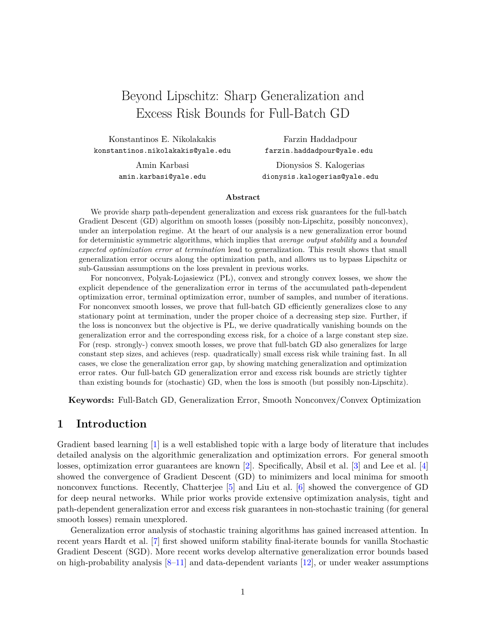# Beyond Lipschitz: Sharp Generalization and Excess Risk Bounds for Full-Batch GD

Konstantinos E. Nikolakakis konstantinos.nikolakakis@yale.edu

> Amin Karbasi amin.karbasi@yale.edu

Farzin Haddadpour farzin.haddadpour@yale.edu

Dionysios S. Kalogerias dionysis.kalogerias@yale.edu

#### **Abstract**

We provide sharp path-dependent generalization and excess risk guarantees for the full-batch Gradient Descent (GD) algorithm on smooth losses (possibly non-Lipschitz, possibly nonconvex), under an interpolation regime. At the heart of our analysis is a new generalization error bound for deterministic symmetric algorithms, which implies that *average output stability* and a *bounded expected optimization error at termination* lead to generalization. This result shows that small generalization error occurs along the optimization path, and allows us to bypass Lipschitz or sub-Gaussian assumptions on the loss prevalent in previous works.

For nonconvex, Polyak-Lojasiewicz (PL), convex and strongly convex losses, we show the explicit dependence of the generalization error in terms of the accumulated path-dependent optimization error, terminal optimization error, number of samples, and number of iterations. For nonconvex smooth losses, we prove that full-batch GD efficiently generalizes close to any stationary point at termination, under the proper choice of a decreasing step size. Further, if the loss is nonconvex but the objective is PL, we derive quadratically vanishing bounds on the generalization error and the corresponding excess risk, for a choice of a large constant step size. For (resp. strongly-) convex smooth losses, we prove that full-batch GD also generalizes for large constant step sizes, and achieves (resp. quadratically) small excess risk while training fast. In all cases, we close the generalization error gap, by showing matching generalization and optimization error rates. Our full-batch GD generalization error and excess risk bounds are strictly tighter than existing bounds for (stochastic) GD, when the loss is smooth (but possibly non-Lipschitz).

**Keywords:** Full-Batch GD, Generalization Error, Smooth Nonconvex/Convex Optimization

## **1 Introduction**

Gradient based learning [\[1\]](#page-13-0) is a well established topic with a large body of literature that includes detailed analysis on the algorithmic generalization and optimization errors. For general smooth losses, optimization error guarantees are known [\[2\]](#page-13-1). Specifically, Absil et al. [\[3\]](#page-13-2) and Lee et al. [\[4\]](#page-13-3) showed the convergence of Gradient Descent (GD) to minimizers and local minima for smooth nonconvex functions. Recently, Chatterjee [\[5\]](#page-13-4) and Liu et al. [\[6\]](#page-13-5) showed the convergence of GD for deep neural networks. While prior works provide extensive optimization analysis, tight and path-dependent generalization error and excess risk guarantees in non-stochastic training (for general smooth losses) remain unexplored.

Generalization error analysis of stochastic training algorithms has gained increased attention. In recent years Hardt et al. [\[7\]](#page-13-6) first showed uniform stability final-iterate bounds for vanilla Stochastic Gradient Descent (SGD). More recent works develop alternative generalization error bounds based on high-probability analysis  $[8-11]$  $[8-11]$  and data-dependent variants  $[12]$ , or under weaker assumptions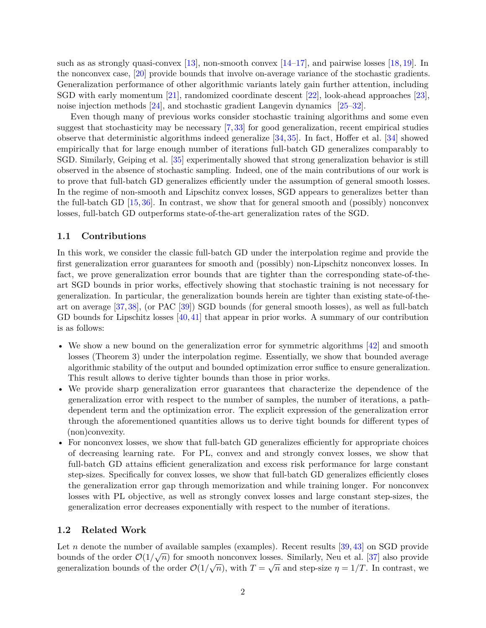such as as strongly quasi-convex  $\left[13\right]$ , non-smooth convex  $\left[14-17\right]$  $\left[14-17\right]$  $\left[14-17\right]$ , and pairwise losses  $\left[18, 19\right]$  $\left[18, 19\right]$  $\left[18, 19\right]$ . In the nonconvex case, [\[20\]](#page-15-3) provide bounds that involve on-average variance of the stochastic gradients. Generalization performance of other algorithmic variants lately gain further attention, including SGD with early momentum [\[21\]](#page-15-4), randomized coordinate descent [\[22\]](#page-15-5), look-ahead approaches [\[23\]](#page-15-6), noise injection methods [\[24\]](#page-15-7), and stochastic gradient Langevin dynamics [\[25–](#page-15-8)[32\]](#page-16-0).

Even though many of previous works consider stochastic training algorithms and some even suggest that stochasticity may be necessary [\[7,](#page-13-6) [33\]](#page-16-1) for good generalization, recent empirical studies observe that deterministic algorithms indeed generalize  $[34, 35]$  $[34, 35]$  $[34, 35]$ . In fact, Hoffer et al.  $[34]$  showed empirically that for large enough number of iterations full-batch GD generalizes comparably to SGD. Similarly, Geiping et al. [\[35\]](#page-16-3) experimentally showed that strong generalization behavior is still observed in the absence of stochastic sampling. Indeed, one of the main contributions of our work is to prove that full-batch GD generalizes efficiently under the assumption of general smooth losses. In the regime of non-smooth and Lipschitz convex losses, SGD appears to generalizes better than the full-batch GD [\[15,](#page-14-5) [36\]](#page-17-0). In contrast, we show that for general smooth and (possibly) nonconvex losses, full-batch GD outperforms state-of-the-art generalization rates of the SGD.

#### **1.1 Contributions**

In this work, we consider the classic full-batch GD under the interpolation regime and provide the first generalization error guarantees for smooth and (possibly) non-Lipschitz nonconvex losses. In fact, we prove generalization error bounds that are tighter than the corresponding state-of-theart SGD bounds in prior works, effectively showing that stochastic training is not necessary for generalization. In particular, the generalization bounds herein are tighter than existing state-of-theart on average [\[37,](#page-17-1) [38\]](#page-17-2), (or PAC [\[39\]](#page-17-3)) SGD bounds (for general smooth losses), as well as full-batch GD bounds for Lipschitz losses [\[40,](#page-17-4) [41\]](#page-17-5) that appear in prior works. A summary of our contribution is as follows:

- We show a new bound on the generalization error for symmetric algorithms [\[42\]](#page-17-6) and smooth losses (Theorem [3\)](#page-5-0) under the interpolation regime. Essentially, we show that bounded average algorithmic stability of the output and bounded optimization error suffice to ensure generalization. This result allows to derive tighter bounds than those in prior works.
- We provide sharp generalization error guarantees that characterize the dependence of the generalization error with respect to the number of samples, the number of iterations, a pathdependent term and the optimization error. The explicit expression of the generalization error through the aforementioned quantities allows us to derive tight bounds for different types of (non)convexity.
- For nonconvex losses, we show that full-batch GD generalizes efficiently for appropriate choices of decreasing learning rate. For PL, convex and and strongly convex losses, we show that full-batch GD attains efficient generalization and excess risk performance for large constant step-sizes. Specifically for convex losses, we show that full-batch GD generalizes efficiently closes the generalization error gap through memorization and while training longer. For nonconvex losses with PL objective, as well as strongly convex losses and large constant step-sizes, the generalization error decreases exponentially with respect to the number of iterations.

#### **1.2 Related Work**

Let *n* denote the number of available samples (examples). Recent results  $[39, 43]$  $[39, 43]$  $[39, 43]$  on SGD provide bounds of the order  $\mathcal{O}(1/\sqrt{n})$  for smooth nonconvex losses. Similarly, Neu et al. [\[37\]](#page-17-1) also provide generalization bounds of the order  $\mathcal{O}(1/\sqrt{n})$ , with  $T = \sqrt{n}$  and step-size  $\eta = 1/T$ . In contrast, we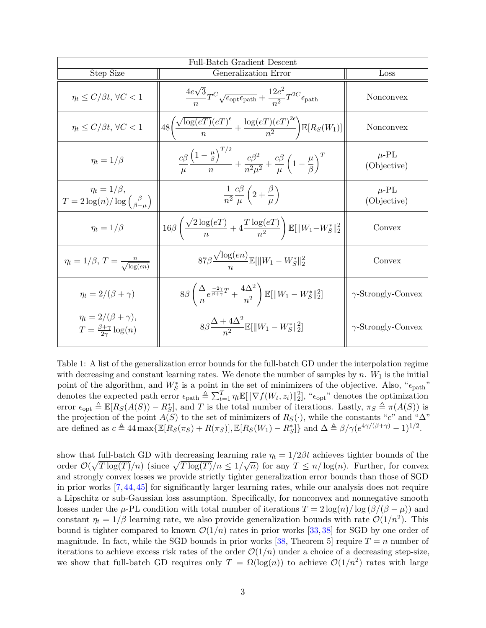| Full-Batch Gradient Descent                                                    |                                                                                                                                                     |                           |
|--------------------------------------------------------------------------------|-----------------------------------------------------------------------------------------------------------------------------------------------------|---------------------------|
| Step Size                                                                      | Generalization Error                                                                                                                                | Loss                      |
| $\eta_t \le C/\beta t, \forall C < 1$                                          | $\frac{4e\sqrt{3}}{n}T^{C}\sqrt{\epsilon_{\rm opt}\epsilon_{\rm path}} + \frac{12e^2}{n^2}T^{2C}\epsilon_{\rm path}$                                | Nonconvex                 |
| $\eta_t \le C/\beta t, \forall C < 1$                                          | $\left  48 \left( \frac{\sqrt{\log(eT)(eT)^{\epsilon}}}{n} + \frac{\log(eT)(eT)^{2\epsilon}}{n^2} \right) \mathbb{E}[R_S(W_1)] \right $             | Nonconvex                 |
| $\eta_t = 1/\beta$                                                             | $\frac{c\beta}{\mu}\frac{\left(1-\frac{\mu}{\beta}\right)^{1/2}}{n}+\frac{c\beta^2}{n^2\mu^2}+\frac{c\beta}{\mu}\left(1-\frac{\mu}{\beta}\right)^T$ | $\mu$ -PL<br>(Objective)  |
| $\eta_t = 1/\beta,$<br>$T = 2\log(n)/\log\left(\frac{\beta}{\beta-\mu}\right)$ | $\frac{1}{n^2} \frac{c\beta}{\mu} \left( 2 + \frac{\beta}{\mu} \right)$                                                                             | $\mu$ -PL<br>(Objective)  |
| $\eta_t = 1/\beta$                                                             | $16\beta \left( \frac{\sqrt{2} \log(eT)}{n} + 4 \frac{T \log(eT)}{n^2} \right) \mathbb{E}[\ W_1 - W_S^*\ _2^2]$                                     | Convex                    |
| $\eta_t = 1/\beta, T = \frac{n}{\sqrt{\log(en)}}$                              | $87\beta \frac{\sqrt{\log(en)}}{\pi} \mathbb{E}[\ W_1 - W_S^*\ _2^2]$                                                                               | Convex                    |
| $\eta_t = 2/(\beta + \gamma)$                                                  | $8\beta\left(\frac{\Delta}{n}e^{\frac{-2\gamma}{\beta+\gamma}T}+\frac{4\Delta^2}{n^2}\right)\mathbb{E}[\ W_1-W_S^*\ _2^2]$                          | $\gamma$ -Strongly-Convex |
| $\eta_t = 2/(\beta + \gamma),$<br>$T = \frac{\beta + \gamma}{2\gamma} \log(n)$ | $8\beta \frac{\Delta + 4\Delta^2}{\Delta^2} \mathbb{E}[\ W_1 - W_S^*\ _2^2]$                                                                        | $\gamma$ -Strongly-Convex |

<span id="page-2-0"></span>Table 1: A list of the generalization error bounds for the full-batch GD under the interpolation regime with decreasing and constant learning rates. We denote the number of samples by  $n$ .  $W_1$  is the initial point of the algorithm, and  $W_S^*$  is a point in the set of minimizers of the objective. Also, " $\epsilon_{\text{path}}$ " denotes the expected path error  $\epsilon_{\text{path}} \triangleq \sum_{t=1}^{T} \eta_t \mathbb{E}[\|\nabla f(W_t, z_t)\|_2^2]$ , " $\epsilon_{\text{opt}}$ " denotes the optimization error  $\epsilon_{\text{opt}} \triangleq \mathbb{E}[R_S(A(S)) - R_S^*]$ , and *T* is the total number of iterations. Lastly,  $\pi_S \triangleq \pi(A(S))$  is the projection of the point *A*(*S*) to the set of minimizers of  $R_S(\cdot)$ , while the constants "*c*" and " $\Delta$ " are defined as  $c \triangleq 44 \max{\{\mathbb{E}[R_S(\pi_S) + R(\pi_S)], \mathbb{E}[R_S(W_1) - R_S^*]\}}$  and  $\Delta \triangleq \beta/\gamma(e^{4\gamma/(\beta+\gamma)} - 1)^{1/2}$ .

show that full-batch GD with decreasing learning rate  $\eta_t = 1/2\beta t$  achieves tighter bounds of the order  $\mathcal{O}(\sqrt{T \log(T)}/n)$  (since  $\sqrt{T \log(T)}/n \leq 1/\sqrt{n}$ ) for any  $T \leq n/\log(n)$ . Further, for convex and strongly convex losses we provide strictly tighter generalization error bounds than those of SGD in prior works [\[7,](#page-13-6) [44,](#page-17-8) [45\]](#page-17-9) for significantly larger learning rates, while our analysis does not require a Lipschitz or sub-Gaussian loss assumption. Specifically, for nonconvex and nonnegative smooth losses under the  $\mu$ -PL condition with total number of iterations  $T = 2 \log(n) / \log(\beta/(\beta - \mu))$  and constant  $\eta_t = 1/\beta$  learning rate, we also provide generalization bounds with rate  $\mathcal{O}(1/n^2)$ . This bound is tighter compared to known  $\mathcal{O}(1/n)$  rates in prior works [\[33,](#page-16-1) [38\]](#page-17-2) for SGD by one order of magnitude. In fact, while the SGD bounds in prior works [\[38,](#page-17-2) Theorem 5] require  $T = n$  number of iterations to achieve excess risk rates of the order  $\mathcal{O}(1/n)$  under a choice of a decreasing step-size, we show that full-batch GD requires only  $T = \Omega(\log(n))$  to achieve  $\mathcal{O}(1/n^2)$  rates with large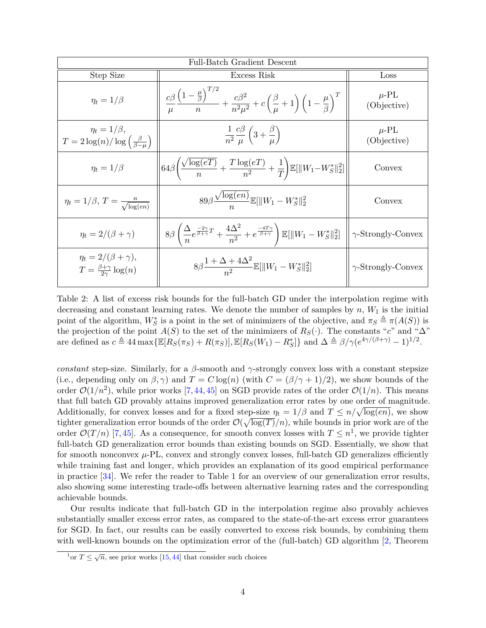| Full-Batch Gradient Descent                                                    |                                                                                                                                                                                                               |                                 |
|--------------------------------------------------------------------------------|---------------------------------------------------------------------------------------------------------------------------------------------------------------------------------------------------------------|---------------------------------|
| Step Size                                                                      | Excess Risk                                                                                                                                                                                                   | Loss                            |
| $\eta_t = 1/\beta$                                                             | $\frac{c\beta}{\mu}\frac{\left(1-\frac{\mu}{\beta}\right)^{T/2}}{n}+\frac{c\beta^2}{n^2\mu^2}+c\left(\frac{\beta}{\mu}+1\right)\left(1-\frac{\mu}{\beta}\right)^T$                                            | $\mu$ -PL<br>(Objective)        |
| $\eta_t = 1/\beta,$<br>$T = 2\log(n)/\log\left(\frac{\beta}{\beta-n}\right)$   | $\frac{1}{n^2} \frac{c\beta}{\mu} \left(3 + \frac{\beta}{\mu}\right)$                                                                                                                                         | $\mu$ -PL<br>(Objective)        |
| $\eta_t = 1/\beta$                                                             | $\left  64 \beta \left( \frac{\sqrt{\log(eT)}}{n} + \frac{T \log(eT)}{n^2} + \frac{1}{T} \right) \mathbb{E}[\ W_1 - W_S^*\ _2^2] \right $                                                                     | Convex                          |
| $\eta_t = 1/\beta, T = \frac{n}{\sqrt{\log(en)}}$                              | $89\beta \frac{\sqrt{\log(en)}}{n} \mathbb{E}[\ W_1 - W_S^*\ _2^2]$                                                                                                                                           | Convex                          |
| $\eta_t = 2/(\beta + \gamma)$                                                  | $8\beta\left(\frac{\Delta}{n}e^{\frac{-2\gamma}{\beta+\gamma}T}+\frac{4\Delta^2}{n^2}+e^{\frac{-4T\gamma}{\beta+\gamma}}\right)\mathbb{E}[\ W_1-W_S^*\ _2^2]\ \left\ \ \gamma\text{-Strongly-Convex}\right\ $ |                                 |
| $\eta_t = 2/(\beta + \gamma),$<br>$T = \frac{\beta + \gamma}{2\gamma} \log(n)$ | $8\beta \frac{1+\Delta+4\Delta^2}{2} \mathbb{E}[\ W_1-W_S^*\ _2^2]$                                                                                                                                           | $\gamma\text{-Strongly-Convex}$ |

<span id="page-3-1"></span>Table 2: A list of excess risk bounds for the full-batch GD under the interpolation regime with decreasing and constant learning rates. We denote the number of samples by  $n, W_1$  is the initial point of the algorithm,  $W_S^*$  is a point in the set of minimizers of the objective, and  $\pi_S \triangleq \pi(A(S))$  is the projection of the point *A*(*S*) to the set of the minimizers of  $R_S(\cdot)$ . The constants "*c*" and " $\Delta$ " are defined as  $c \triangleq 44 \max{\{\mathbb{E}[R_S(\pi_S) + R(\pi_S)], \mathbb{E}[R_S(W_1) - R_S^*]\}}$  and  $\Delta \triangleq \beta/\gamma(e^{4\gamma/(\beta+\gamma)} - 1)^{1/2}$ .

*constant* step-size. Similarly, for a  $\beta$ -smooth and  $\gamma$ -strongly convex loss with a constant stepsize (i.e., depending only on  $\beta$ ,  $\gamma$ ) and  $T = C \log(n)$  (with  $C = (\beta/\gamma + 1)/2$ ), we show bounds of the order  $\mathcal{O}(1/n^2)$ , while prior works [\[7,](#page-13-6) [44,](#page-17-8) [45\]](#page-17-9) on SGD provide rates of the order  $\mathcal{O}(1/n)$ . This means that full batch GD provably attains improved generalization error rates by one order of magnitude. Additionally, for convex losses and for a fixed step-size  $\eta_t = 1/\beta$  and  $T \leq n/\sqrt{\log(en)}$ , we show tighter generalization error bounds of the order  $\mathcal{O}(\sqrt{\log(T)}/n)$ , while bounds in prior work are of the order  $\mathcal{O}(T/n)$  [\[7,](#page-13-6)[45\]](#page-17-9). As a consequence, for smooth convex losses with  $T \leq n^1$  $T \leq n^1$ , we provide tighter full-batch GD generalization error bounds than existing bounds on SGD. Essentially, we show that for smooth nonconvex  $\mu$ -PL, convex and strongly convex losses, full-batch GD generalizes efficiently while training fast and longer, which provides an explanation of its good empirical performance in practice [\[34\]](#page-16-2). We refer the reader to Table [1](#page-2-0) for an overview of our generalization error results, also showing some interesting trade-offs between alternative learning rates and the corresponding achievable bounds.

Our results indicate that full-batch GD in the interpolation regime also provably achieves substantially smaller excess error rates, as compared to the state-of-the-art excess error guarantees for SGD. In fact, our results can be easily converted to excess risk bounds, by combining them with well-known bounds on the optimization error of the (full-batch) GD algorithm [\[2,](#page-13-1) Theorem

<span id="page-3-0"></span> $\frac{1}{1}$ or  $T \leq \sqrt{n}$ , see prior works [\[15,](#page-14-5)[44\]](#page-17-8) that consider such choices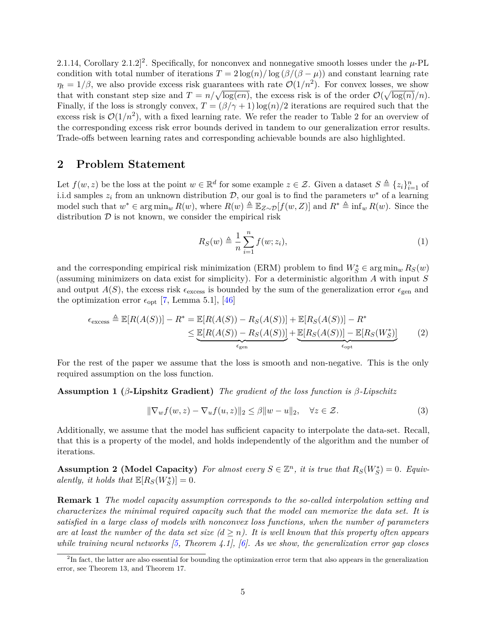[2](#page-4-0).1.14, Corollary 2.1.2<sup>2</sup>. Specifically, for nonconvex and nonnegative smooth losses under the  $\mu$ -PL condition with total number of iterations  $T = 2 \log(n) / \log(\beta/(\beta - \mu))$  and constant learning rate  $\eta_t = 1/\beta$ , we also provide excess risk guarantees with rate  $\mathcal{O}(1/n^2)$ . For convex losses, we show that with constant step size and  $T = n/\sqrt{\log(en)}$ , the excess risk is of the order  $\mathcal{O}(\sqrt{\log(n)}/n)$ . Finally, if the loss is strongly convex,  $T = (\beta/\gamma + 1) \log(n)/2$  iterations are required such that the excess risk is  $\mathcal{O}(1/n^2)$  $\mathcal{O}(1/n^2)$  $\mathcal{O}(1/n^2)$ , with a fixed learning rate. We refer the reader to Table 2 for an overview of the corresponding excess risk error bounds derived in tandem to our generalization error results. Trade-offs between learning rates and corresponding achievable bounds are also highlighted.

## **2 Problem Statement**

Let  $f(w, z)$  be the loss at the point  $w \in \mathbb{R}^d$  for some example  $z \in \mathcal{Z}$ . Given a dataset  $S \triangleq \{z_i\}_{i=1}^n$  of i.i.d samples  $z_i$  from an unknown distribution  $\mathcal{D}$ , our goal is to find the parameters  $w^*$  of a learning model such that  $w^*$  ∈ arg min<sub>*w*</sub>  $R(w)$ , where  $R(w) \triangleq \mathbb{E}_{Z \sim \mathcal{D}}[f(w, Z)]$  and  $R^* \triangleq \inf_w R(w)$ . Since the distribution  $D$  is not known, we consider the empirical risk

<span id="page-4-3"></span>
$$
R_S(w) \triangleq \frac{1}{n} \sum_{i=1}^n f(w; z_i), \tag{1}
$$

and the corresponding empirical risk minimization (ERM) problem to find  $W_S^* \in \arg\min_w R_S(w)$ (assuming minimizers on data exist for simplicity). For a deterministic algorithm *A* with input *S* and output  $A(S)$ , the excess risk  $\epsilon_{\text{excess}}$  is bounded by the sum of the generalization error  $\epsilon_{\text{gen}}$  and the optimization error  $\epsilon_{opt}$  [\[7,](#page-13-6) Lemma 5.1], [\[46\]](#page-17-10)

$$
\epsilon_{\text{excess}} \triangleq \mathbb{E}[R(A(S))] - R^* = \mathbb{E}[R(A(S)) - R_S(A(S))] + \mathbb{E}[R_S(A(S))] - R^* \leq \underbrace{\mathbb{E}[R(A(S)) - R_S(A(S))]}_{\epsilon_{\text{gen}}} + \underbrace{\mathbb{E}[R_S(A(S))] - \mathbb{E}[R_S(W_S^*)]}_{\epsilon_{\text{opt}}}
$$
(2)

For the rest of the paper we assume that the loss is smooth and non-negative. This is the only required assumption on the loss function.

**Assumption 1 (***β***-Lipshitz Gradient)** *The gradient of the loss function is β-Lipschitz*

<span id="page-4-2"></span>
$$
\|\nabla_w f(w, z) - \nabla_u f(u, z)\|_2 \le \beta \|w - u\|_2, \quad \forall z \in \mathcal{Z}.
$$
 (3)

<span id="page-4-1"></span>Additionally, we assume that the model has sufficient capacity to interpolate the data-set. Recall, that this is a property of the model, and holds independently of the algorithm and the number of iterations.

**Assumption 2 (Model Capacity)** For almost every  $S \in \mathbb{Z}^n$ , it is true that  $R_S(W_S^*) = 0$ . Equiv $alently, it holds that  $\mathbb{E}[R_S(W_S^*)] = 0$ .$ 

**Remark 1** *The model capacity assumption corresponds to the so-called interpolation setting and characterizes the minimal required capacity such that the model can memorize the data set. It is satisfied in a large class of models with nonconvex loss functions, when the number of parameters are at least the number of the data set size*  $(d \geq n)$ *. It is well known that this property often appears while training neural networks [\[5,](#page-13-4) Theorem 4.1], [\[6\]](#page-13-5). As we show, the generalization error gap closes*

<span id="page-4-0"></span><sup>&</sup>lt;sup>2</sup>In fact, the latter are also essential for bounding the optimization error term that also appears in the generalization error, see Theorem [13,](#page-10-0) and Theorem [17.](#page-11-0)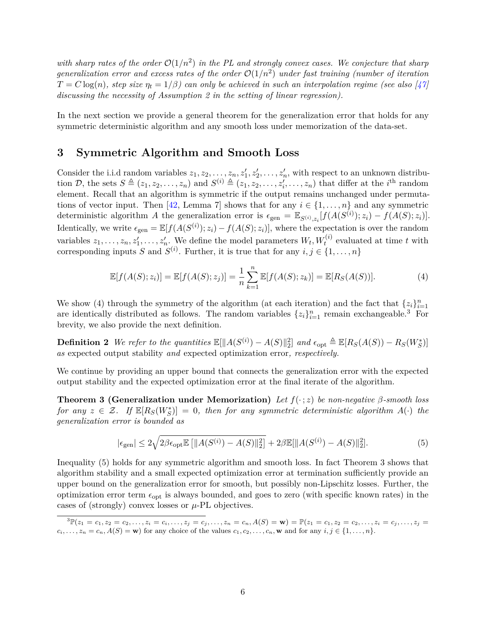with sharp rates of the order  $\mathcal{O}(1/n^2)$  in the PL and strongly convex cases. We conjecture that sharp generalization error and excess rates of the order  $\mathcal{O}(1/n^2)$  under fast training (number of iteration  $T = C \log(n)$ *, step size*  $\eta_t = 1/\beta$ *) can only be achieved in such an interpolation regime (see also [\[47\]](#page-17-11) discussing the necessity of Assumption [2](#page-4-1) in the setting of linear regression).*

In the next section we provide a general theorem for the generalization error that holds for any symmetric deterministic algorithm and any smooth loss under memorization of the data-set.

## **3 Symmetric Algorithm and Smooth Loss**

Consider the i.i.d random variables  $z_1, z_2, \ldots, z_n, z'_1, z'_2, \ldots, z'_n$ , with respect to an unknown distribution D, the sets  $S \triangleq (z_1, z_2, \ldots, z_n)$  and  $S^{(i)} \triangleq (z_1, z_2, \ldots, z'_i, \ldots, z_n)$  that differ at the *i*<sup>th</sup> random element. Recall that an algorithm is symmetric if the output remains unchanged under permuta-tions of vector input. Then [\[42,](#page-17-6) Lemma 7] shows that for any  $i \in \{1, ..., n\}$  and any symmetric deterministic algorithm *A* the generalization error is  $\epsilon_{gen} = \mathbb{E}_{S^{(i)},z_i}[f(A(S^{(i)});z_i) - f(A(S);z_i)].$ Identically, we write  $\epsilon_{gen} = \mathbb{E}[f(A(S^{(i)}); z_i) - f(A(S); z_i)],$  where the expectation is over the random variables  $z_1, \ldots, z_n, z'_1, \ldots, z'_n$ . We define the model parameters  $W_t, W_t^{(i)}$  evaluated at time *t* with corresponding inputs *S* and  $S^{(i)}$ . Further, it is true that for any  $i, j \in \{1, \ldots, n\}$ 

<span id="page-5-4"></span><span id="page-5-1"></span>
$$
\mathbb{E}[f(A(S); z_i)] = \mathbb{E}[f(A(S); z_j)] = \frac{1}{n} \sum_{k=1}^{n} \mathbb{E}[f(A(S); z_k)] = \mathbb{E}[R_S(A(S))].
$$
\n(4)

We show [\(4\)](#page-5-1) through the symmetry of the algorithm (at each iteration) and the fact that  $\{z_i\}_{i=1}^n$ are identically distributed as follows. The random variables  $\{z_i\}_{i=1}^n$  remain exchangeable.<sup>[3](#page-5-2)</sup> For brevity, we also provide the next definition.

**Definition 2** We refer to the quantities  $\mathbb{E}[\|A(S^{(i)}) - A(S)\|_2^2]$  and  $\epsilon_{\text{opt}} \triangleq \mathbb{E}[R_S(A(S)) - R_S(W_S^*)]$ *as* expected output stability *and* expected optimization error*, respectively.*

We continue by providing an upper bound that connects the generalization error with the expected output stability and the expected optimization error at the final iterate of the algorithm.

**Theorem 3 (Generalization under Memorization)** *Let f*(· ; *z*) *be non-negative β-smooth loss*  $\int$  *for any*  $z \in \mathcal{Z}$ . If  $\mathbb{E}[R_S(W_S^*)] = 0$ , then for any symmetric deterministic algorithm  $A(\cdot)$  the *generalization error is bounded as*

<span id="page-5-3"></span><span id="page-5-0"></span>
$$
|\epsilon_{\text{gen}}| \le 2\sqrt{2\beta\epsilon_{\text{opt}}\mathbb{E}\left[\|A(S^{(i)}) - A(S)\|_2^2\right]} + 2\beta\mathbb{E}[\|A(S^{(i)}) - A(S)\|_2^2].\tag{5}
$$

Inequality [\(5\)](#page-5-3) holds for any symmetric algorithm and smooth loss. In fact Theorem [3](#page-5-0) shows that algorithm stability and a small expected optimization error at termination sufficiently provide an upper bound on the generalization error for smooth, but possibly non-Lipschitz losses. Further, the optimization error term *ϵ*opt is always bounded, and goes to zero (with specific known rates) in the cases of (strongly) convex losses or *µ*-PL objectives.

<span id="page-5-2"></span> ${}^{3}\mathbb{P}(z_1 = c_1, z_2 = c_2, \ldots, z_i = c_i, \ldots, z_j = c_j, \ldots, z_n = c_n, A(S) = \mathbf{w}) = \mathbb{P}(z_1 = c_1, z_2 = c_2, \ldots, z_i = c_j, \ldots, z_j = c_j, \ldots, z_i = c_j, \ldots, z_n = c_n, A(S) = \mathbf{w})$  $c_i, \ldots, z_n = c_n, A(S) = \mathbf{w}$  for any choice of the values  $c_1, c_2, \ldots, c_n, \mathbf{w}$  and for any  $i, j \in \{1, \ldots, n\}$ .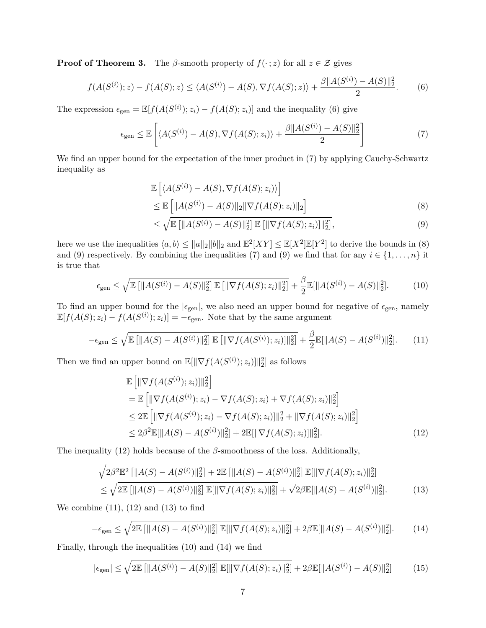**Proof of Theorem [3.](#page-5-0)** The *β*-smooth property of  $f(\cdot; z)$  for all  $z \in \mathcal{Z}$  gives

$$
f(A(S^{(i)}); z) - f(A(S); z) \le \langle A(S^{(i)}) - A(S), \nabla f(A(S); z) \rangle + \frac{\beta \|A(S^{(i)}) - A(S)\|_2^2}{2}.
$$
 (6)

The expression  $\epsilon_{gen} = \mathbb{E}[f(A(S^{(i)}); z_i) - f(A(S); z_i)]$  and the inequality [\(6\)](#page-6-0) give

$$
\epsilon_{\text{gen}} \le \mathbb{E}\left[ \langle A(S^{(i)}) - A(S), \nabla f(A(S); z_i) \rangle + \frac{\beta \|A(S^{(i)}) - A(S)\|_2^2}{2} \right] \tag{7}
$$

We find an upper bound for the expectation of the inner product in  $(7)$  by applying Cauchy-Schwartz inequality as

<span id="page-6-1"></span><span id="page-6-0"></span>
$$
\mathbb{E}\left[\langle A(S^{(i)}) - A(S), \nabla f(A(S); z_i)\rangle\right]
$$
  
\n
$$
\leq \mathbb{E}\left[\|A(S^{(i)}) - A(S)\|_2 \|\nabla f(A(S); z_i)\|_2\right]
$$
\n(8)

<span id="page-6-7"></span><span id="page-6-5"></span><span id="page-6-3"></span><span id="page-6-2"></span>
$$
\leq \sqrt{\mathbb{E}\left[\|A(S^{(i)}) - A(S)\|_2^2\right] \mathbb{E}\left[\|\nabla f(A(S); z_i)\|_2^2\right]},
$$
\n(9)

here we use the inequalities  $\langle a, b \rangle \le ||a||_2 ||b||_2$  and  $\mathbb{E}^2[XY] \le \mathbb{E}[X^2]\mathbb{E}[Y^2]$  to derive the bounds in [\(8\)](#page-6-2) and [\(9\)](#page-6-3) respectively. By combining the inequalities [\(7\)](#page-6-1) and (9) we find that for any  $i \in \{1, \ldots, n\}$  it is true that

$$
\epsilon_{\text{gen}} \le \sqrt{\mathbb{E}\left[\|A(S^{(i)}) - A(S)\|_2^2\right] \mathbb{E}\left[\|\nabla f(A(S); z_i)\|_2^2\right]} + \frac{\beta}{2} \mathbb{E}[\|A(S^{(i)}) - A(S)\|_2^2].\tag{10}
$$

To find an upper bound for the  $|\epsilon_{gen}|$ , we also need an upper bound for negative of  $\epsilon_{gen}$ , namely  $\mathbb{E}[f(A(S); z_i) - f(A(S^{(i)}); z_i)] = -\epsilon_{gen}$ . Note that by the same argument

$$
-\epsilon_{\text{gen}} \le \sqrt{\mathbb{E}\left[\|A(S) - A(S^{(i)})\|_2^2\right] \mathbb{E}\left[\|\nabla f(A(S^{(i)}); z_i)\|_2^2\right]} + \frac{\beta}{2} \mathbb{E}[\|A(S) - A(S^{(i)})\|_2^2].\tag{11}
$$

Then we find an upper bound on  $\mathbb{E}[\|\nabla f(A(S^{(i)}); z_i)\|_2^2]$  as follows

<span id="page-6-6"></span><span id="page-6-4"></span>
$$
\mathbb{E}\left[\|\nabla f(A(S^{(i)}); z_i)\|_{2}^{2}\right]
$$
\n
$$
= \mathbb{E}\left[\|\nabla f(A(S^{(i)}); z_i) - \nabla f(A(S); z_i) + \nabla f(A(S); z_i)\|_{2}^{2}\right]
$$
\n
$$
\leq 2\mathbb{E}\left[\|\nabla f(A(S^{(i)}); z_i) - \nabla f(A(S); z_i)\|_{2}^{2} + \|\nabla f(A(S); z_i)\|_{2}^{2}\right]
$$
\n
$$
\leq 2\beta^{2}\mathbb{E}[\|A(S) - A(S^{(i)})\|_{2}^{2}] + 2\mathbb{E}[\|\nabla f(A(S); z_i)\|_{2}^{2}].
$$
\n(12)

The inequality [\(12\)](#page-6-4) holds because of the *β*-smoothness of the loss. Additionally,

<span id="page-6-8"></span>
$$
\sqrt{2\beta^2 \mathbb{E}^2 \left[ \|A(S) - A(S^{(i)})\|_2^2 \right] + 2\mathbb{E} \left[ \|A(S) - A(S^{(i)})\|_2^2 \right] \mathbb{E}[\|\nabla f(A(S); z_i)\|_2^2]} \\
\leq \sqrt{2\mathbb{E} \left[ \|A(S) - A(S^{(i)})\|_2^2 \right] \mathbb{E}[\|\nabla f(A(S); z_i)\|_2^2]} + \sqrt{2\beta \mathbb{E}[\|A(S) - A(S^{(i)})\|_2^2]}.
$$
\n(13)

We combine  $(11)$ ,  $(12)$  and  $(13)$  to find

$$
-\epsilon_{\text{gen}} \le \sqrt{2\mathbb{E}\left[\|A(S) - A(S^{(i)})\|_2^2\right]\mathbb{E}[\|\nabla f(A(S); z_i)\|_2^2]} + 2\beta \mathbb{E}[\|A(S) - A(S^{(i)})\|_2^2].\tag{14}
$$

Finally, through the inequalities [\(10\)](#page-6-7) and [\(14\)](#page-6-8) we find

<span id="page-6-9"></span>
$$
|\epsilon_{\text{gen}}| \le \sqrt{2\mathbb{E}\left[\|A(S^{(i)}) - A(S)\|_2^2\right]\mathbb{E}[\|\nabla f(A(S); z_i)\|_2^2]} + 2\beta \mathbb{E}[\|A(S^{(i)}) - A(S)\|_2^2] \tag{15}
$$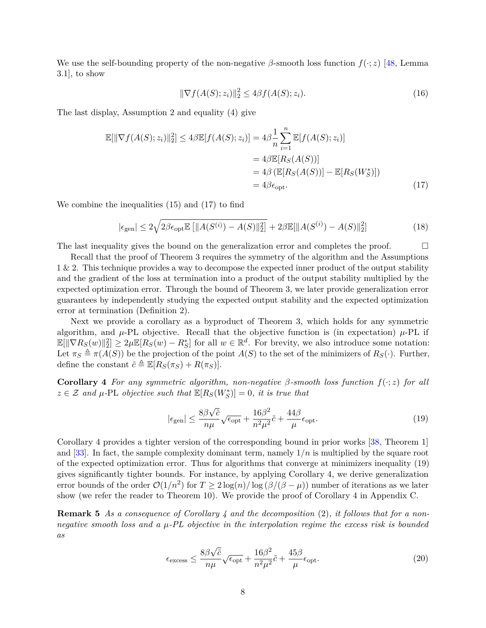We use the self-bounding property of the non-negative *β*-smooth loss function *f*(·; *z*) [\[48,](#page-18-0) Lemma 3.1], to show

<span id="page-7-0"></span>
$$
\|\nabla f(A(S); z_i)\|_2^2 \le 4\beta f(A(S); z_i). \tag{16}
$$

The last display, Assumption [2](#page-4-1) and equality [\(4\)](#page-5-1) give

$$
\mathbb{E}[\|\nabla f(A(S); z_i)\|_2^2] \le 4\beta \mathbb{E}[f(A(S); z_i)] = 4\beta \frac{1}{n} \sum_{i=1}^n \mathbb{E}[f(A(S); z_i)]
$$
  
\n
$$
= 4\beta \mathbb{E}[R_S(A(S))]
$$
  
\n
$$
= 4\beta (\mathbb{E}[R_S(A(S))] - \mathbb{E}[R_S(W_S^*)])
$$
  
\n
$$
= 4\beta \epsilon_{\text{opt}}.
$$
 (17)

We combine the inequalities [\(15\)](#page-6-9) and [\(17\)](#page-7-0) to find

$$
|\epsilon_{\text{gen}}| \le 2\sqrt{2\beta\epsilon_{\text{opt}}\mathbb{E}\left[\|A(S^{(i)}) - A(S)\|_2^2\right]} + 2\beta\mathbb{E}[\|A(S^{(i)}) - A(S)\|_2^2] \tag{18}
$$

The last inequality gives the bound on the generalization error and completes the proof.  $\Box$ 

Recall that the proof of Theorem [3](#page-5-0) requires the symmetry of the algorithm and the Assumptions [1](#page-4-2) & [2.](#page-4-1) This technique provides a way to decompose the expected inner product of the output stability and the gradient of the loss at termination into a product of the output stability multiplied by the expected optimization error. Through the bound of Theorem [3,](#page-5-0) we later provide generalization error guarantees by independently studying the expected output stability and the expected optimization error at termination (Definition [2\)](#page-5-4).

Next we provide a corollary as a byproduct of Theorem [3,](#page-5-0) which holds for any symmetric algorithm, and  $\mu$ -PL objective. Recall that the objective function is (in expectation)  $\mu$ -PL if  $\mathbb{E}[\|\nabla R_S(w)\|_2^2] \geq 2\mu \mathbb{E}[R_S(w) - R_S^*]$  for all  $w \in \mathbb{R}^d$ . For brevity, we also introduce some notation: Let  $\pi_S \triangleq \pi(A(S))$  be the projection of the point  $A(S)$  to the set of the minimizers of  $R_S(\cdot)$ . Further, define the constant  $\tilde{c} \triangleq \mathbb{E}[R_S(\pi_S) + R(\pi_S)].$ 

**Corollary 4** *For any symmetric algorithm, non-negative β-smooth loss function f*(·; *z*) *for all*  $z \in \mathcal{Z}$  *and*  $\mu$ -PL *objective such that*  $\mathbb{E}[R_S(W_S^*)] = 0$ *, it is true that* 

<span id="page-7-2"></span><span id="page-7-1"></span>
$$
|\epsilon_{\text{gen}}| \le \frac{8\beta\sqrt{\tilde{c}}}{n\mu} \sqrt{\epsilon_{\text{opt}}} + \frac{16\beta^2}{n^2\mu^2} \tilde{c} + \frac{44\beta}{\mu} \epsilon_{\text{opt}}.\tag{19}
$$

Corollary [4](#page-7-1) provides a tighter version of the corresponding bound in prior works [\[38,](#page-17-2) Theorem 1] and [\[33\]](#page-16-1). In fact, the sample complexity dominant term, namely  $1/n$  is multiplied by the square root of the expected optimization error. Thus for algorithms that converge at minimizers inequality [\(19\)](#page-7-2) gives significantly tighter bounds. For instance, by applying Corollary [4,](#page-7-1) we derive generalization error bounds of the order  $\mathcal{O}(1/n^2)$  for  $T \geq 2 \log(n)/\log(\beta/(\beta - \mu))$  number of iterations as we later show (we refer the reader to Theorem [10\)](#page-9-0). We provide the proof of Corollary [4](#page-7-1) in Appendix [C.](#page-23-0)

**Remark 5** *As a consequence of Corollary [4](#page-7-1) and the decomposition* [\(2\)](#page-4-3)*, it follows that for a nonnegative smooth loss and a µ-PL objective in the interpolation regime the excess risk is bounded as*

<span id="page-7-4"></span><span id="page-7-3"></span>
$$
\epsilon_{\text{excess}} \le \frac{8\beta\sqrt{\tilde{c}}}{n\mu} \sqrt{\epsilon_{\text{opt}}} + \frac{16\beta^2}{n^2\mu^2} \tilde{c} + \frac{45\beta}{\mu} \epsilon_{\text{opt}}.\tag{20}
$$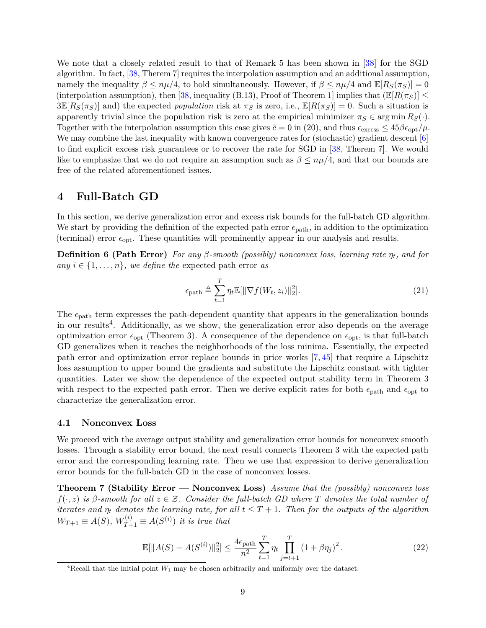We note that a closely related result to that of Remark [5](#page-7-3) has been shown in [\[38\]](#page-17-2) for the SGD algorithm. In fact, [\[38,](#page-17-2) Therem 7] requires the interpolation assumption and an additional assumption, namely the inequality  $\beta \leq n\mu/4$ , to hold simultaneously. However, if  $\beta \leq n\mu/4$  and  $\mathbb{E}[R_S(\pi_S)] = 0$ (interpolation assumption), then [\[38,](#page-17-2) inequality (B.13), Proof of Theorem 1] implies that  $(\mathbb{E}[R(\pi_S)] \leq$  $3\mathbb{E}[R_S(\pi_S)]$  and) the expected *population* risk at  $\pi_S$  is zero, i.e.,  $\mathbb{E}[R(\pi_S)] = 0$ . Such a situation is apparently trivial since the population risk is zero at the empirical minimizer  $\pi_S \in \arg \min R_S(\cdot)$ . Together with the interpolation assumption this case gives  $\tilde{c} = 0$  in [\(20\)](#page-7-4), and thus  $\epsilon_{\text{excess}} \leq 45 \beta \epsilon_{\text{opt}}/\mu$ . We may combine the last inequality with known convergence rates for (stochastic) gradient descent [\[6\]](#page-13-5) to find explicit excess risk guarantees or to recover the rate for SGD in [\[38,](#page-17-2) Therem 7]. We would like to emphasize that we do not require an assumption such as  $\beta \leq n\mu/4$ , and that our bounds are free of the related aforementioned issues.

## **4 Full-Batch GD**

In this section, we derive generalization error and excess risk bounds for the full-batch GD algorithm. We start by providing the definition of the expected path error  $\epsilon_{\text{path}}$ , in addition to the optimization (terminal) error *ϵ*opt. These quantities will prominently appear in our analysis and results.

**Definition 6 (Path Error)** *For any*  $\beta$ -smooth (possibly) nonconvex loss, learning rate  $\eta_t$ , and for *any*  $i \in \{1, \ldots, n\}$ *, we define the* expected path error *as* 

<span id="page-8-2"></span>
$$
\epsilon_{\text{path}} \triangleq \sum_{t=1}^{T} \eta_t \mathbb{E}[\|\nabla f(W_t, z_i)\|_2^2].
$$
\n(21)

The  $\epsilon_{\text{path}}$  term expresses the path-dependent quantity that appears in the generalization bounds in our results<sup>[4](#page-8-0)</sup>. Additionally, as we show, the generalization error also depends on the average optimization error *ϵ*opt (Theorem [3\)](#page-5-0). A consequence of the dependence on *ϵ*opt, is that full-batch GD generalizes when it reaches the neighborhoods of the loss minima. Essentially, the expected path error and optimization error replace bounds in prior works [\[7,](#page-13-6) [45\]](#page-17-9) that require a Lipschitz loss assumption to upper bound the gradients and substitute the Lipschitz constant with tighter quantities. Later we show the dependence of the expected output stability term in Theorem [3](#page-5-0) with respect to the expected path error. Then we derive explicit rates for both  $\epsilon_{\text{path}}$  and  $\epsilon_{\text{opt}}$  to characterize the generalization error.

#### **4.1 Nonconvex Loss**

We proceed with the average output stability and generalization error bounds for nonconvex smooth losses. Through a stability error bound, the next result connects Theorem [3](#page-5-0) with the expected path error and the corresponding learning rate. Then we use that expression to derive generalization error bounds for the full-batch GD in the case of nonconvex losses.

**Theorem 7 (Stability Error — Nonconvex Loss)** *Assume that the (possibly) nonconvex loss f*(·*, z*) *is β-smooth for all z* ∈ Z*. Consider the full-batch GD where T denotes the total number of iterates and*  $\eta_t$  *denotes the learning rate, for all*  $t \leq T + 1$ *. Then for the outputs of the algorithm*  $W_{T+1} \equiv A(S), W_{T+1}^{(i)} \equiv A(S^{(i)})$  *it is true that* 

<span id="page-8-1"></span>
$$
\mathbb{E}[\|A(S) - A(S^{(i)})\|_2^2] \le \frac{4\epsilon_{\text{path}}}{n^2} \sum_{t=1}^T \eta_t \prod_{j=t+1}^T (1 + \beta \eta_j)^2. \tag{22}
$$

<span id="page-8-0"></span><sup>&</sup>lt;sup>4</sup>Recall that the initial point  $W_1$  may be chosen arbitrarily and uniformly over the dataset.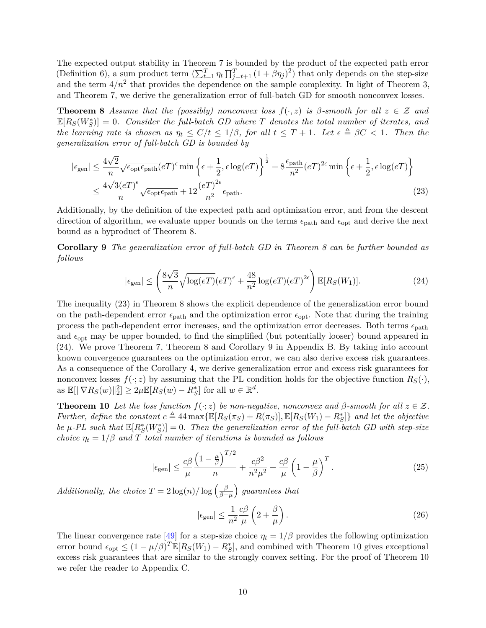The expected output stability in Theorem [7](#page-8-1) is bounded by the product of the expected path error (Definition [6\)](#page-8-2), a sum product term  $(\sum_{t=1}^T \eta_t \prod_{j=t+1}^T (1 + \beta \eta_j)^2)$  that only depends on the step-size and the term  $4/n^2$  that provides the dependence on the sample complexity. In light of Theorem [3,](#page-5-0) and Theorem [7,](#page-8-1) we derive the generalization error of full-batch GD for smooth nonconvex losses.

**Theorem 8** *Assume that the (possibly) nonconvex loss*  $f(\cdot, z)$  *is*  $\beta$ *-smooth for all*  $z \in \mathcal{Z}$  *and*  $\mathbb{E}[R_S(W_S^*)] = 0$ . Consider the full-batch GD where T denotes the total number of iterates, and *the learning rate is chosen as*  $\eta_t \leq C/t \leq 1/\beta$ , for all  $t \leq T+1$ . Let  $\epsilon \triangleq \beta C < 1$ . Then the *generalization error of full-batch GD is bounded by*

$$
|\epsilon_{gen}| \leq \frac{4\sqrt{2}}{n} \sqrt{\epsilon_{\text{opt}} \epsilon_{\text{path}}} (eT)^{\epsilon} \min \left\{ \epsilon + \frac{1}{2}, \epsilon \log(eT) \right\}^{\frac{1}{2}} + 8 \frac{\epsilon_{\text{path}}}{n^2} (eT)^{2\epsilon} \min \left\{ \epsilon + \frac{1}{2}, \epsilon \log(eT) \right\}
$$

$$
\leq \frac{4\sqrt{3}(eT)^{\epsilon}}{n} \sqrt{\epsilon_{\text{opt}} \epsilon_{\text{path}}} + 12 \frac{(eT)^{2\epsilon}}{n^2} \epsilon_{\text{path}}.
$$
(23)

Additionally, by the definition of the expected path and optimization error, and from the descent direction of algorithm, we evaluate upper bounds on the terms  $\epsilon_{\text{path}}$  and  $\epsilon_{\text{opt}}$  and derive the next bound as a byproduct of Theorem [8.](#page-9-1)

**Corollary 9** *The generalization error of full-batch GD in Theorem [8](#page-9-1) can be further bounded as follows*

<span id="page-9-4"></span><span id="page-9-3"></span><span id="page-9-2"></span><span id="page-9-1"></span>
$$
|\epsilon_{\text{gen}}| \leq \left(\frac{8\sqrt{3}}{n}\sqrt{\log(e)}(e^{\frac{48}{n}} + \frac{48}{n^2}\log(e^{\frac{2}{n}})(e^{\frac{2}{n}})\mathbb{E}[R_S(W_1)].\right) \tag{24}
$$

The inequality [\(23\)](#page-9-2) in Theorem [8](#page-9-1) shows the explicit dependence of the generalization error bound on the path-dependent error  $\epsilon_{\text{path}}$  and the optimization error  $\epsilon_{\text{opt}}$ . Note that during the training process the path-dependent error increases, and the optimization error decreases. Both terms *ϵ*path and  $\epsilon_{\rm opt}$  may be upper bounded, to find the simplified (but potentially looser) bound appeared in [\(24\)](#page-9-3). We prove Theorem [7,](#page-8-1) Theorem [8](#page-9-1) and Corollary [9](#page-9-4) in Appendix [B.](#page-21-0) By taking into account known convergence guarantees on the optimization error, we can also derive excess risk guarantees. As a consequence of the Corollary [4,](#page-7-1) we derive generalization error and excess risk guarantees for nonconvex losses  $f(\cdot; z)$  by assuming that the PL condition holds for the objective function  $R_S(\cdot)$ ,  $\arg \mathbb{E}[\|\nabla R_S(w)\|_2^2] \geq 2\mu \mathbb{E}[R_S(w) - R_S^*]$  for all  $w \in \mathbb{R}^d$ .

**Theorem 10** *Let the loss function*  $f(\cdot; z)$  *be non-negative, nonconvex and*  $\beta$ *-smooth for all*  $z \in \mathcal{Z}$ *. Further, define the constant*  $c \triangleq 44 \max{\{\mathbb{E}[R_S(\pi_S) + R(\pi_S)]\}, \mathbb{E}[R_S(W_1) - R_S^*]\}}$  *and let the objective be*  $\mu$ -PL such that  $\mathbb{E}[R^*_S(W^*_S)] = 0$ . Then the generalization error of the full-batch GD with step-size *choice*  $\eta_t = 1/\beta$  *and T total number of iterations is bounded as follows* 

<span id="page-9-0"></span>
$$
|\epsilon_{\text{gen}}| \leq \frac{c\beta}{\mu} \frac{\left(1 - \frac{\mu}{\beta}\right)^{T/2}}{n} + \frac{c\beta^2}{n^2\mu^2} + \frac{c\beta}{\mu} \left(1 - \frac{\mu}{\beta}\right)^T.
$$
 (25)

*Additionally, the choice*  $T = 2 \log(n) / \log \left( \frac{\beta}{\beta - 1} \right)$  $\left(\frac{\beta}{\beta-\mu}\right)$  guarantees that

<span id="page-9-6"></span><span id="page-9-5"></span>
$$
|\epsilon_{\text{gen}}| \le \frac{1}{n^2} \frac{c\beta}{\mu} \left(2 + \frac{\beta}{\mu}\right). \tag{26}
$$

The linear convergence rate [\[49\]](#page-18-1) for a step-size choice  $\eta_t = 1/\beta$  provides the following optimization error bound  $\epsilon_{opt} \leq (1 - \mu/\beta)^T \mathbb{E}[R_S(W_1) - R_S^*]$ , and combined with Theorem [10](#page-9-0) gives exceptional excess risk guarantees that are similar to the strongly convex setting. For the proof of Theorem [10](#page-9-0) we refer the reader to Appendix [C.](#page-23-0)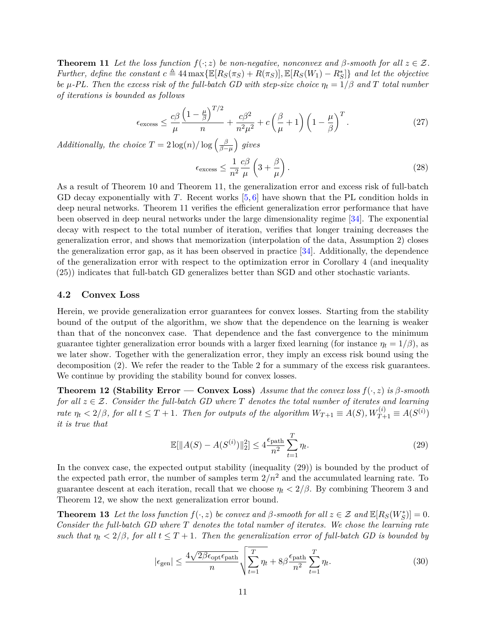**Theorem 11** *Let the loss function*  $f(\cdot; z)$  *be non-negative, nonconvex and*  $\beta$ *-smooth for all*  $z \in \mathcal{Z}$ *. Further, define the constant*  $c \triangleq 44 \max{\{\mathbb{E}[R_S(\pi_S) + R(\pi_S)]\}, \mathbb{E}[R_S(W_1) - R_S^*]\}}$  *and let the objective be*  $\mu$ -PL. Then the excess risk of the full-batch GD with step-size choice  $\eta_t = 1/\beta$  and T total number *of iterations is bounded as follows*

$$
\epsilon_{\text{excess}} \le \frac{c\beta}{\mu} \frac{\left(1 - \frac{\mu}{\beta}\right)^{T/2}}{n} + \frac{c\beta^2}{n^2\mu^2} + c\left(\frac{\beta}{\mu} + 1\right) \left(1 - \frac{\mu}{\beta}\right)^T. \tag{27}
$$

*Additionally, the choice*  $T = 2 \log(n) / \log \left( \frac{\beta}{\beta - 1} \right)$ *β*−*µ gives*

$$
\epsilon_{\text{excess}} \le \frac{1}{n^2} \frac{c\beta}{\mu} \left( 3 + \frac{\beta}{\mu} \right). \tag{28}
$$

As a result of Theorem [10](#page-9-0) and Theorem [11,](#page-9-5) the generalization error and excess risk of full-batch GD decay exponentially with *T*. Recent works [\[5,](#page-13-4) [6\]](#page-13-5) have shown that the PL condition holds in deep neural networks. Theorem [11](#page-9-5) verifies the efficient generalization error performance that have been observed in deep neural networks under the large dimensionality regime [\[34\]](#page-16-2). The exponential decay with respect to the total number of iteration, verifies that longer training decreases the generalization error, and shows that memorization (interpolation of the data, Assumption [2\)](#page-4-1) closes the generalization error gap, as it has been observed in practice [\[34\]](#page-16-2). Additionally, the dependence of the generalization error with respect to the optimization error in Corollary [4](#page-7-1) (and inequality [\(25\)](#page-9-6)) indicates that full-batch GD generalizes better than SGD and other stochastic variants.

#### **4.2 Convex Loss**

Herein, we provide generalization error guarantees for convex losses. Starting from the stability bound of the output of the algorithm, we show that the dependence on the learning is weaker than that of the nonconvex case. That dependence and the fast convergence to the minimum guarantee tighter generalization error bounds with a larger fixed learning (for instance  $\eta_t = 1/\beta$ ), as we later show. Together with the generalization error, they imply an excess risk bound using the decomposition [\(2\)](#page-4-3). We refer the reader to the Table [2](#page-3-1) for a summary of the excess risk guarantees. We continue by providing the stability bound for convex losses.

**Theorem 12 (Stability Error — Convex Loss)** Assume that the convex loss  $f(\cdot, z)$  is  $\beta$ -smooth *for all*  $z \in \mathcal{Z}$ *. Consider the full-batch GD where T denotes the total number of iterates and learning* rate  $\eta_t < 2/\beta$ , for all  $t \leq T + 1$ . Then for outputs of the algorithm  $W_{T+1} \equiv A(S), W_{T+1}^{(i)} \equiv A(S^{(i)})$ *it is true that*

<span id="page-10-2"></span><span id="page-10-1"></span><span id="page-10-0"></span>
$$
\mathbb{E}[\|A(S) - A(S^{(i)})\|_2^2] \le 4 \frac{\epsilon_{\text{path}}}{n^2} \sum_{t=1}^T \eta_t.
$$
\n(29)

In the convex case, the expected output stability (inequality [\(29\)](#page-10-1)) is bounded by the product of the expected path error, the number of samples term  $2/n^2$  and the accumulated learning rate. To guarantee descent at each iteration, recall that we choose  $\eta_t < 2/\beta$ . By combining Theorem [3](#page-5-0) and Theorem [12,](#page-10-2) we show the next generalization error bound.

**Theorem 13** Let the loss function  $f(\cdot, z)$  be convex and  $\beta$ -smooth for all  $z \in \mathcal{Z}$  and  $\mathbb{E}[R_S(W_S^*)] = 0$ . *Consider the full-batch GD where T denotes the total number of iterates. We chose the learning rate such that*  $\eta_t < 2/\beta$ , for all  $t \leq T + 1$ . Then the generalization error of full-batch GD is bounded by

<span id="page-10-3"></span>
$$
|\epsilon_{\text{gen}}| \le \frac{4\sqrt{2\beta\epsilon_{\text{opt}}\epsilon_{\text{path}}}}{n} \sqrt{\sum_{t=1}^{T} \eta_t} + 8\beta \frac{\epsilon_{\text{path}}}{n^2} \sum_{t=1}^{T} \eta_t.
$$
 (30)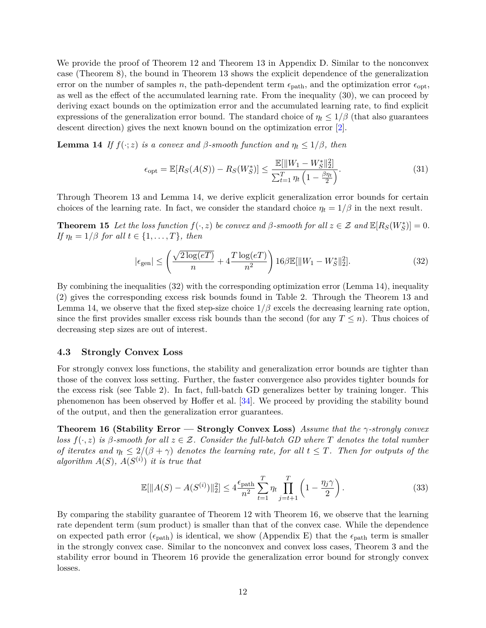We provide the proof of Theorem [12](#page-10-2) and Theorem [13](#page-10-0) in Appendix [D.](#page-25-0) Similar to the nonconvex case (Theorem [8\)](#page-9-1), the bound in Theorem [13](#page-10-0) shows the explicit dependence of the generalization error on the number of samples *n*, the path-dependent term  $\epsilon_{\text{path}}$ , and the optimization error  $\epsilon_{\text{opt}}$ . as well as the effect of the accumulated learning rate. From the inequality [\(30\)](#page-10-3), we can proceed by deriving exact bounds on the optimization error and the accumulated learning rate, to find explicit expressions of the generalization error bound. The standard choice of  $\eta_t \leq 1/\beta$  (that also guarantees descent direction) gives the next known bound on the optimization error [\[2\]](#page-13-1).

**Lemma 14** *If*  $f(\cdot; z)$  *is a convex and*  $\beta$ -smooth function and  $\eta_t \leq 1/\beta$ , then

<span id="page-11-1"></span>
$$
\epsilon_{\rm opt} = \mathbb{E}[R_S(A(S)) - R_S(W_S^*)] \le \frac{\mathbb{E}[\|W_1 - W_S^*\|_2^2]}{\sum_{t=1}^T \eta_t \left(1 - \frac{\beta \eta_t}{2}\right)}.
$$
\n(31)

Through Theorem [13](#page-10-0) and Lemma [14,](#page-11-1) we derive explicit generalization error bounds for certain choices of the learning rate. In fact, we consider the standard choice  $\eta_t = 1/\beta$  in the next result.

**Theorem 15** Let the loss function  $f(\cdot, z)$  be convex and  $\beta$ -smooth for all  $z \in \mathcal{Z}$  and  $\mathbb{E}[R_S(W_S^*)] = 0$ . *If*  $\eta_t = 1/\beta$  *for all*  $t \in \{1, \ldots, T\}$ *, then* 

<span id="page-11-2"></span>
$$
|\epsilon_{\text{gen}}| \le \left(\frac{\sqrt{2\log(eT)}}{n} + 4\frac{T\log(eT)}{n^2}\right) 16\beta \mathbb{E}[\|W_1 - W_S^*\|_2^2].\tag{32}
$$

By combining the inequalities [\(32\)](#page-11-2) with the corresponding optimization error (Lemma [14\)](#page-11-1), inequality [\(2\)](#page-4-3) gives the corresponding excess risk bounds found in Table [2.](#page-3-1) Through the Theorem [13](#page-10-0) and Lemma [14,](#page-11-1) we observe that the fixed step-size choice  $1/\beta$  excels the decreasing learning rate option, since the first provides smaller excess risk bounds than the second (for any  $T \leq n$ ). Thus choices of decreasing step sizes are out of interest.

#### **4.3 Strongly Convex Loss**

For strongly convex loss functions, the stability and generalization error bounds are tighter than those of the convex loss setting. Further, the faster convergence also provides tighter bounds for the excess risk (see Table [2\)](#page-3-1). In fact, full-batch GD generalizes better by training longer. This phenomenon has been observed by Hoffer et al. [\[34\]](#page-16-2). We proceed by providing the stability bound of the output, and then the generalization error guarantees.

**Theorem 16 (Stability Error — Strongly Convex Loss)** *Assume that the γ-strongly convex loss*  $f(\cdot, z)$  *is*  $\beta$ -smooth for all  $z \in \mathcal{Z}$ . Consider the full-batch GD where T denotes the total number *of iterates and*  $\eta_t \leq 2/(\beta + \gamma)$  *denotes the learning rate, for all*  $t \leq T$ *. Then for outputs of the algorithm*  $A(S)$ *,*  $A(S^{(i)})$  *it is true that* 

<span id="page-11-3"></span>
$$
\mathbb{E}[\|A(S) - A(S^{(i)})\|_2^2] \le 4 \frac{\epsilon_{\text{path}}}{n^2} \sum_{t=1}^T \eta_t \prod_{j=t+1}^T \left(1 - \frac{\eta_j \gamma}{2}\right). \tag{33}
$$

<span id="page-11-0"></span>By comparing the stability guarantee of Theorem [12](#page-10-2) with Theorem [16,](#page-11-3) we observe that the learning rate dependent term (sum product) is smaller than that of the convex case. While the dependence on expected path error ( $\epsilon_{\text{path}}$ ) is identical, we show (Appendix [E\)](#page-28-0) that the  $\epsilon_{\text{path}}$  term is smaller in the strongly convex case. Similar to the nonconvex and convex loss cases, Theorem [3](#page-5-0) and the stability error bound in Theorem [16](#page-11-3) provide the generalization error bound for strongly convex losses.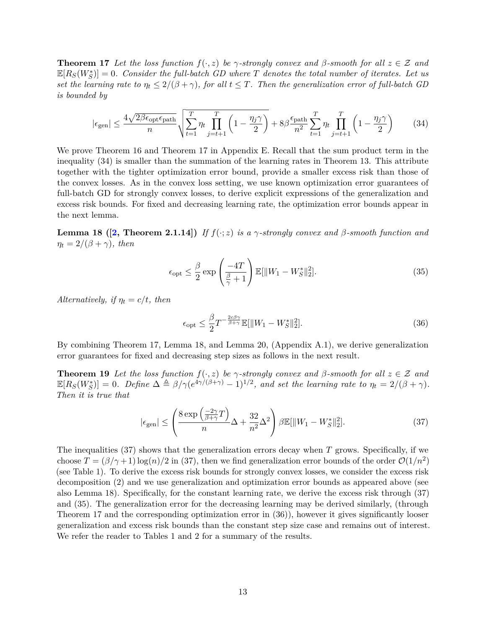**Theorem 17** *Let the loss function*  $f(\cdot, z)$  *be*  $\gamma$ *-strongly convex and*  $\beta$ *-smooth for all*  $z \in \mathcal{Z}$  *and*  $\mathbb{E}[R_S(W_S^*)] = 0$ . Consider the full-batch GD where T denotes the total number of iterates. Let us *set the learning rate to*  $\eta_t \leq 2/(\beta + \gamma)$ *, for all*  $t \leq T$ *. Then the generalization error of full-batch GD is bounded by*

$$
|\epsilon_{\text{gen}}| \le \frac{4\sqrt{2\beta\epsilon_{\text{opt}}\epsilon_{\text{path}}}}{n} \sqrt{\sum_{t=1}^{T} \eta_t \prod_{j=t+1}^{T} \left(1 - \frac{\eta_j \gamma}{2}\right)} + 8\beta \frac{\epsilon_{\text{path}}}{n^2} \sum_{t=1}^{T} \eta_t \prod_{j=t+1}^{T} \left(1 - \frac{\eta_j \gamma}{2}\right) \tag{34}
$$

We prove Theorem [16](#page-11-3) and Theorem [17](#page-11-0) in Appendix [E.](#page-28-0) Recall that the sum product term in the inequality [\(34\)](#page-12-0) is smaller than the summation of the learning rates in Theorem [13.](#page-10-0) This attribute together with the tighter optimization error bound, provide a smaller excess risk than those of the convex losses. As in the convex loss setting, we use known optimization error guarantees of full-batch GD for strongly convex losses, to derive explicit expressions of the generalization and excess risk bounds. For fixed and decreasing learning rate, the optimization error bounds appear in the next lemma.

<span id="page-12-1"></span>**Lemma 18 ([\[2,](#page-13-1) Theorem 2.1.14])** *If*  $f(\cdot; z)$  *is a*  $\gamma$ *-strongly convex and*  $\beta$ *-smooth function and*  $\eta_t = 2/(\beta + \gamma)$ *, then* 

<span id="page-12-0"></span>
$$
\epsilon_{\rm opt} \le \frac{\beta}{2} \exp\left(\frac{-4T}{\frac{\beta}{\gamma}+1}\right) \mathbb{E}[\|W_1 - W_S^*\|_2^2].\tag{35}
$$

*Alternatively, if*  $\eta_t = c/t$ *, then* 

<span id="page-12-4"></span><span id="page-12-3"></span><span id="page-12-2"></span>
$$
\epsilon_{\rm opt} \le \frac{\beta}{2} T^{-\frac{2c\beta\gamma}{\beta+\gamma}} \mathbb{E}[\|W_1 - W_S^*\|_2^2]. \tag{36}
$$

By combining Theorem [17,](#page-11-0) Lemma [18,](#page-12-1) and Lemma [20,](#page-19-0) (Appendix [A.1\)](#page-19-1), we derive generalization error guarantees for fixed and decreasing step sizes as follows in the next result.

**Theorem 19** *Let the loss function*  $f(\cdot, z)$  *be*  $\gamma$ *-strongly convex and*  $\beta$ *-smooth for all*  $z \in \mathcal{Z}$  *and*  $\mathbb{E}[R_S(W_S^*)] = 0$ . Define  $\Delta \triangleq \beta/\gamma (e^{4\gamma/(\beta+\gamma)} - 1)^{1/2}$ , and set the learning rate to  $\eta_t = 2/(\beta + \gamma)$ . *Then it is true that*

$$
|\epsilon_{\text{gen}}| \le \left(\frac{8 \exp\left(\frac{-2\gamma}{\beta + \gamma}T\right)}{n} \Delta + \frac{32}{n^2} \Delta^2\right) \beta \mathbb{E}[\|W_1 - W_S^*\|_2^2].\tag{37}
$$

The inequalities [\(37\)](#page-12-2) shows that the generalization errors decay when *T* grows. Specifically, if we choose  $T = (\beta/\gamma + 1) \log(n)/2$  in [\(37\)](#page-12-2), then we find generalization error bounds of the order  $\mathcal{O}(1/n^2)$ (see Table [1\)](#page-2-0). To derive the excess risk bounds for strongly convex losses, we consider the excess risk decomposition [\(2\)](#page-4-3) and we use generalization and optimization error bounds as appeared above (see also Lemma [18\)](#page-12-1). Specifically, for the constant learning rate, we derive the excess risk through [\(37\)](#page-12-2) and [\(35\)](#page-12-3). The generalization error for the decreasing learning may be derived similarly, (through Theorem [17](#page-11-0) and the corresponding optimization error in [\(36\)](#page-12-4)), however it gives significantly looser generalization and excess risk bounds than the constant step size case and remains out of interest. We refer the reader to Tables [1](#page-2-0) and [2](#page-3-1) for a summary of the results.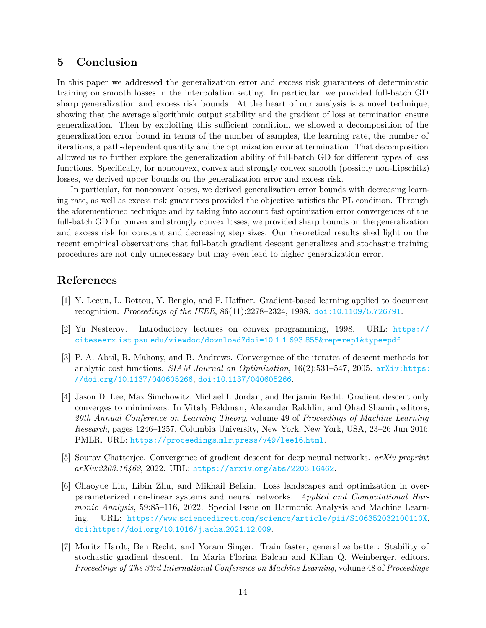## **5 Conclusion**

In this paper we addressed the generalization error and excess risk guarantees of deterministic training on smooth losses in the interpolation setting. In particular, we provided full-batch GD sharp generalization and excess risk bounds. At the heart of our analysis is a novel technique, showing that the average algorithmic output stability and the gradient of loss at termination ensure generalization. Then by exploiting this sufficient condition, we showed a decomposition of the generalization error bound in terms of the number of samples, the learning rate, the number of iterations, a path-dependent quantity and the optimization error at termination. That decomposition allowed us to further explore the generalization ability of full-batch GD for different types of loss functions. Specifically, for nonconvex, convex and strongly convex smooth (possibly non-Lipschitz) losses, we derived upper bounds on the generalization error and excess risk.

In particular, for nonconvex losses, we derived generalization error bounds with decreasing learning rate, as well as excess risk guarantees provided the objective satisfies the PL condition. Through the aforementioned technique and by taking into account fast optimization error convergences of the full-batch GD for convex and strongly convex losses, we provided sharp bounds on the generalization and excess risk for constant and decreasing step sizes. Our theoretical results shed light on the recent empirical observations that full-batch gradient descent generalizes and stochastic training procedures are not only unnecessary but may even lead to higher generalization error.

## **References**

- <span id="page-13-0"></span>[1] Y. Lecun, L. Bottou, Y. Bengio, and P. Haffner. Gradient-based learning applied to document recognition. *Proceedings of the IEEE*, 86(11):2278–2324, 1998. [doi:10](https://doi.org/10.1109/5.726791)*.*1109/5*.*726791.
- <span id="page-13-1"></span>[2] Yu Nesterov. Introductory lectures on convex programming, 1998. URL: [https://](https://citeseerx.ist.psu.edu/viewdoc/download?doi=10.1.1.693.855&rep=rep1&type=pdf) citeseerx*.*ist*.*psu*.*[edu/viewdoc/download?doi=10](https://citeseerx.ist.psu.edu/viewdoc/download?doi=10.1.1.693.855&rep=rep1&type=pdf)*.*1*.*1*.*693*.*855&rep=rep1&type=pdf.
- <span id="page-13-2"></span>[3] P. A. Absil, R. Mahony, and B. Andrews. Convergence of the iterates of descent methods for analytic cost functions. *SIAM Journal on Optimization*, 16(2):531–547, 2005. [arXiv:https:](http://arxiv.org/abs/https://doi.org/10.1137/040605266) //doi*.*org/10*.*[1137/040605266](http://arxiv.org/abs/https://doi.org/10.1137/040605266), doi:10*.*[1137/040605266](https://doi.org/10.1137/040605266).
- <span id="page-13-3"></span>[4] Jason D. Lee, Max Simchowitz, Michael I. Jordan, and Benjamin Recht. Gradient descent only converges to minimizers. In Vitaly Feldman, Alexander Rakhlin, and Ohad Shamir, editors, *29th Annual Conference on Learning Theory*, volume 49 of *Proceedings of Machine Learning Research*, pages 1246–1257, Columbia University, New York, New York, USA, 23–26 Jun 2016. PMLR. URL: [https://proceedings](https://proceedings.mlr.press/v49/lee16.html)*.*mlr*.*press/v49/lee16*.*html.
- <span id="page-13-4"></span>[5] Sourav Chatterjee. Convergence of gradient descent for deep neural networks. *arXiv preprint arXiv:2203.16462*, 2022. URL: [https://arxiv](https://arxiv.org/abs/2203.16462)*.*org/abs/2203*.*16462.
- <span id="page-13-5"></span>[6] Chaoyue Liu, Libin Zhu, and Mikhail Belkin. Loss landscapes and optimization in overparameterized non-linear systems and neural networks. *Applied and Computational Harmonic Analysis*, 59:85–116, 2022. Special Issue on Harmonic Analysis and Machine Learning. URL: https://www*.*sciencedirect*.*[com/science/article/pii/S106352032100110X](https://www.sciencedirect.com/science/article/pii/S106352032100110X), [doi:https://doi](https://doi.org/https://doi.org/10.1016/j.acha.2021.12.009)*.*org/10*.*1016/j*.*acha*.*2021*.*12*.*009.
- <span id="page-13-6"></span>[7] Moritz Hardt, Ben Recht, and Yoram Singer. Train faster, generalize better: Stability of stochastic gradient descent. In Maria Florina Balcan and Kilian Q. Weinberger, editors, *Proceedings of The 33rd International Conference on Machine Learning*, volume 48 of *Proceedings*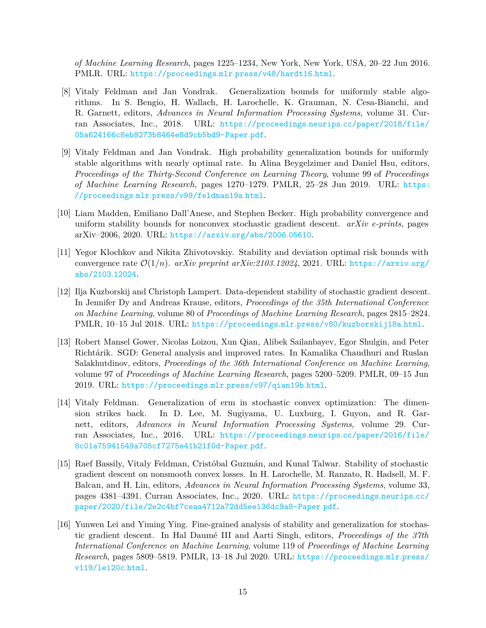*of Machine Learning Research*, pages 1225–1234, New York, New York, USA, 20–22 Jun 2016. PMLR. URL: [https://proceedings](https://proceedings.mlr.press/v48/hardt16.html)*.*mlr*.*press/v48/hardt16*.*html.

- <span id="page-14-0"></span>[8] Vitaly Feldman and Jan Vondrak. Generalization bounds for uniformly stable algorithms. In S. Bengio, H. Wallach, H. Larochelle, K. Grauman, N. Cesa-Bianchi, and R. Garnett, editors, *Advances in Neural Information Processing Systems*, volume 31. Curran Associates, Inc., 2018. URL: [https://proceedings](https://proceedings.neurips.cc/paper/2018/file/05a624166c8eb8273b8464e8d9cb5bd9-Paper.pdf)*.*neurips*.*cc/paper/2018/file/ [05a624166c8eb8273b8464e8d9cb5bd9-Paper](https://proceedings.neurips.cc/paper/2018/file/05a624166c8eb8273b8464e8d9cb5bd9-Paper.pdf)*.*pdf.
- [9] Vitaly Feldman and Jan Vondrak. High probability generalization bounds for uniformly stable algorithms with nearly optimal rate. In Alina Beygelzimer and Daniel Hsu, editors, *Proceedings of the Thirty-Second Conference on Learning Theory*, volume 99 of *Proceedings of Machine Learning Research*, pages 1270–1279. PMLR, 25–28 Jun 2019. URL: [https:](https://proceedings.mlr.press/v99/feldman19a.html) //proceedings*.*mlr*.*[press/v99/feldman19a](https://proceedings.mlr.press/v99/feldman19a.html)*.*html.
- [10] Liam Madden, Emiliano Dall'Anese, and Stephen Becker. High probability convergence and uniform stability bounds for nonconvex stochastic gradient descent. *arXiv e-prints*, pages arXiv–2006, 2020. URL: [https://arxiv](https://arxiv.org/abs/2006.05610)*.*org/abs/2006*.*05610.
- <span id="page-14-1"></span>[11] Yegor Klochkov and Nikita Zhivotovskiy. Stability and deviation optimal risk bounds with convergence rate  $\mathcal{O}(1/n)$ . *arXiv preprint arXiv:2103.12024*, 2021. URL: [https://arxiv](https://arxiv.org/abs/2103.12024).org/ [abs/2103](https://arxiv.org/abs/2103.12024)*.*12024.
- <span id="page-14-2"></span>[12] Ilja Kuzborskij and Christoph Lampert. Data-dependent stability of stochastic gradient descent. In Jennifer Dy and Andreas Krause, editors, *Proceedings of the 35th International Conference on Machine Learning*, volume 80 of *Proceedings of Machine Learning Research*, pages 2815–2824. PMLR, 10–15 Jul 2018. URL: https://proceedings*.*mlr*.*[press/v80/kuzborskij18a](https://proceedings.mlr.press/v80/kuzborskij18a.html)*.*html.
- <span id="page-14-3"></span>[13] Robert Mansel Gower, Nicolas Loizou, Xun Qian, Alibek Sailanbayev, Egor Shulgin, and Peter Richtárik. SGD: General analysis and improved rates. In Kamalika Chaudhuri and Ruslan Salakhutdinov, editors, *Proceedings of the 36th International Conference on Machine Learning*, volume 97 of *Proceedings of Machine Learning Research*, pages 5200–5209. PMLR, 09–15 Jun 2019. URL: [https://proceedings](https://proceedings.mlr.press/v97/qian19b.html)*.*mlr*.*press/v97/qian19b*.*html.
- <span id="page-14-4"></span>[14] Vitaly Feldman. Generalization of erm in stochastic convex optimization: The dimension strikes back. In D. Lee, M. Sugiyama, U. Luxburg, I. Guyon, and R. Garnett, editors, *Advances in Neural Information Processing Systems*, volume 29. Curran Associates, Inc., 2016. URL: [https://proceedings](https://proceedings.neurips.cc/paper/2016/file/8c01a75941549a705cf7275e41b21f0d-Paper.pdf)*.*neurips*.*cc/paper/2016/file/ [8c01a75941549a705cf7275e41b21f0d-Paper](https://proceedings.neurips.cc/paper/2016/file/8c01a75941549a705cf7275e41b21f0d-Paper.pdf)*.*pdf.
- <span id="page-14-5"></span>[15] Raef Bassily, Vitaly Feldman, Cristóbal Guzmán, and Kunal Talwar. Stability of stochastic gradient descent on nonsmooth convex losses. In H. Larochelle, M. Ranzato, R. Hadsell, M. F. Balcan, and H. Lin, editors, *Advances in Neural Information Processing Systems*, volume 33, pages 4381–4391. Curran Associates, Inc., 2020. URL: [https://proceedings](https://proceedings.neurips.cc/paper/2020/file/2e2c4bf7ceaa4712a72dd5ee136dc9a8-Paper.pdf)*.*neurips*.*cc/ [paper/2020/file/2e2c4bf7ceaa4712a72dd5ee136dc9a8-Paper](https://proceedings.neurips.cc/paper/2020/file/2e2c4bf7ceaa4712a72dd5ee136dc9a8-Paper.pdf)*.*pdf.
- [16] Yunwen Lei and Yiming Ying. Fine-grained analysis of stability and generalization for stochastic gradient descent. In Hal Daumé III and Aarti Singh, editors, *Proceedings of the 37th International Conference on Machine Learning*, volume 119 of *Proceedings of Machine Learning Research*, pages 5809–5819. PMLR, 13–18 Jul 2020. URL: [https://proceedings](https://proceedings.mlr.press/v119/lei20c.html)*.*mlr*.*press/ [v119/lei20c](https://proceedings.mlr.press/v119/lei20c.html)*.*html.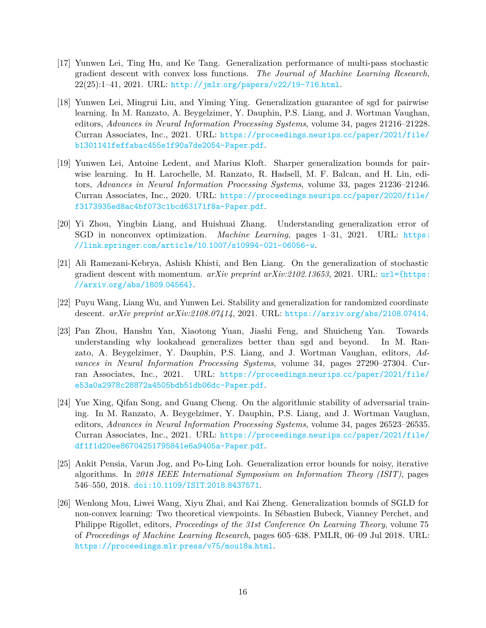- <span id="page-15-0"></span>[17] Yunwen Lei, Ting Hu, and Ke Tang. Generalization performance of multi-pass stochastic gradient descent with convex loss functions. *The Journal of Machine Learning Research*, 22(25):1–41, 2021. URL: http://jmlr*.*[org/papers/v22/19-716](http://jmlr.org/papers/v22/19-716.html)*.*html.
- <span id="page-15-1"></span>[18] Yunwen Lei, Mingrui Liu, and Yiming Ying. Generalization guarantee of sgd for pairwise learning. In M. Ranzato, A. Beygelzimer, Y. Dauphin, P.S. Liang, and J. Wortman Vaughan, editors, *Advances in Neural Information Processing Systems*, volume 34, pages 21216–21228. Curran Associates, Inc., 2021. URL: [https://proceedings](https://proceedings.neurips.cc/paper/2021/file/b1301141feffabac455e1f90a7de2054-Paper.pdf)*.*neurips*.*cc/paper/2021/file/ [b1301141feffabac455e1f90a7de2054-Paper](https://proceedings.neurips.cc/paper/2021/file/b1301141feffabac455e1f90a7de2054-Paper.pdf)*.*pdf.
- <span id="page-15-2"></span>[19] Yunwen Lei, Antoine Ledent, and Marius Kloft. Sharper generalization bounds for pairwise learning. In H. Larochelle, M. Ranzato, R. Hadsell, M. F. Balcan, and H. Lin, editors, *Advances in Neural Information Processing Systems*, volume 33, pages 21236–21246. Curran Associates, Inc., 2020. URL: [https://proceedings](https://proceedings.neurips.cc/paper/2020/file/f3173935ed8ac4bf073c1bcd63171f8a-Paper.pdf)*.*neurips*.*cc/paper/2020/file/ [f3173935ed8ac4bf073c1bcd63171f8a-Paper](https://proceedings.neurips.cc/paper/2020/file/f3173935ed8ac4bf073c1bcd63171f8a-Paper.pdf)*.*pdf.
- <span id="page-15-3"></span>[20] Yi Zhou, Yingbin Liang, and Huishuai Zhang. Understanding generalization error of SGD in nonconvex optimization. *Machine Learning*, pages 1–31, 2021. URL: [https:](https://link.springer.com/article/10.1007/s10994-021-06056-w) //link*.*springer*.*com/article/10*.*[1007/s10994-021-06056-w](https://link.springer.com/article/10.1007/s10994-021-06056-w).
- <span id="page-15-4"></span>[21] Ali Ramezani-Kebrya, Ashish Khisti, and Ben Liang. On the generalization of stochastic gradient descent with momentum. *arXiv preprint arXiv:2102.13653*, 2021. URL: [url={https:](url={https://arxiv.org/abs/1809.04564}) //arxiv*.*[org/abs/1809](url={https://arxiv.org/abs/1809.04564})*.*04564}.
- <span id="page-15-5"></span>[22] Puyu Wang, Liang Wu, and Yunwen Lei. Stability and generalization for randomized coordinate descent. *arXiv preprint arXiv:2108.07414*, 2021. URL: [https://arxiv](https://arxiv.org/abs/2108.07414)*.*org/abs/2108*.*07414.
- <span id="page-15-6"></span>[23] Pan Zhou, Hanshu Yan, Xiaotong Yuan, Jiashi Feng, and Shuicheng Yan. Towards understanding why lookahead generalizes better than sgd and beyond. In M. Ranzato, A. Beygelzimer, Y. Dauphin, P.S. Liang, and J. Wortman Vaughan, editors, *Advances in Neural Information Processing Systems*, volume 34, pages 27290–27304. Curran Associates, Inc., 2021. URL: [https://proceedings](https://proceedings.neurips.cc/paper/2021/file/e53a0a2978c28872a4505bdb51db06dc-Paper.pdf)*.*neurips*.*cc/paper/2021/file/ [e53a0a2978c28872a4505bdb51db06dc-Paper](https://proceedings.neurips.cc/paper/2021/file/e53a0a2978c28872a4505bdb51db06dc-Paper.pdf)*.*pdf.
- <span id="page-15-7"></span>[24] Yue Xing, Qifan Song, and Guang Cheng. On the algorithmic stability of adversarial training. In M. Ranzato, A. Beygelzimer, Y. Dauphin, P.S. Liang, and J. Wortman Vaughan, editors, *Advances in Neural Information Processing Systems*, volume 34, pages 26523–26535. Curran Associates, Inc., 2021. URL: [https://proceedings](https://proceedings.neurips.cc/paper/2021/file/df1f1d20ee86704251795841e6a9405a-Paper.pdf)*.*neurips*.*cc/paper/2021/file/ [df1f1d20ee86704251795841e6a9405a-Paper](https://proceedings.neurips.cc/paper/2021/file/df1f1d20ee86704251795841e6a9405a-Paper.pdf)*.*pdf.
- <span id="page-15-8"></span>[25] Ankit Pensia, Varun Jog, and Po-Ling Loh. Generalization error bounds for noisy, iterative algorithms. In *2018 IEEE International Symposium on Information Theory (ISIT)*, pages 546–550, 2018. doi:10*.*[1109/ISIT](https://doi.org/10.1109/ISIT.2018.8437571)*.*2018*.*8437571.
- [26] Wenlong Mou, Liwei Wang, Xiyu Zhai, and Kai Zheng. Generalization bounds of SGLD for non-convex learning: Two theoretical viewpoints. In Sébastien Bubeck, Vianney Perchet, and Philippe Rigollet, editors, *Proceedings of the 31st Conference On Learning Theory*, volume 75 of *Proceedings of Machine Learning Research*, pages 605–638. PMLR, 06–09 Jul 2018. URL: [https://proceedings](https://proceedings.mlr.press/v75/mou18a.html)*.*mlr*.*press/v75/mou18a*.*html.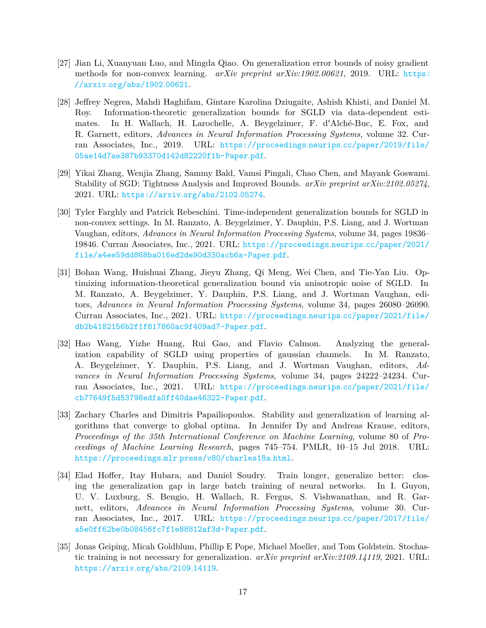- [27] Jian Li, Xuanyuan Luo, and Mingda Qiao. On generalization error bounds of noisy gradient methods for non-convex learning. *arXiv preprint arXiv:1902.00621*, 2019. URL: [https:](https://arxiv.org/abs/1902.00621) //arxiv*.*[org/abs/1902](https://arxiv.org/abs/1902.00621)*.*00621.
- [28] Jeffrey Negrea, Mahdi Haghifam, Gintare Karolina Dziugaite, Ashish Khisti, and Daniel M. Roy. Information-theoretic generalization bounds for SGLD via data-dependent estimates. In H. Wallach, H. Larochelle, A. Beygelzimer, F. d'Alché-Buc, E. Fox, and R. Garnett, editors, *Advances in Neural Information Processing Systems*, volume 32. Curran Associates, Inc., 2019. URL: [https://proceedings](https://proceedings.neurips.cc/paper/2019/file/05ae14d7ae387b93370d142d82220f1b-Paper.pdf)*.*neurips*.*cc/paper/2019/file/ [05ae14d7ae387b93370d142d82220f1b-Paper](https://proceedings.neurips.cc/paper/2019/file/05ae14d7ae387b93370d142d82220f1b-Paper.pdf)*.*pdf.
- [29] Yikai Zhang, Wenjia Zhang, Sammy Bald, Vamsi Pingali, Chao Chen, and Mayank Goswami. Stability of SGD: Tightness Analysis and Improved Bounds. *arXiv preprint arXiv:2102.05274*, 2021. URL: [https://arxiv](https://arxiv.org/abs/2102.05274)*.*org/abs/2102*.*05274.
- [30] Tyler Farghly and Patrick Rebeschini. Time-independent generalization bounds for SGLD in non-convex settings. In M. Ranzato, A. Beygelzimer, Y. Dauphin, P.S. Liang, and J. Wortman Vaughan, editors, *Advances in Neural Information Processing Systems*, volume 34, pages 19836– 19846. Curran Associates, Inc., 2021. URL: [https://proceedings](https://proceedings.neurips.cc/paper/2021/file/a4ee59dd868ba016ed2de90d330acb6a-Paper.pdf)*.*neurips*.*cc/paper/2021/ [file/a4ee59dd868ba016ed2de90d330acb6a-Paper](https://proceedings.neurips.cc/paper/2021/file/a4ee59dd868ba016ed2de90d330acb6a-Paper.pdf)*.*pdf.
- [31] Bohan Wang, Huishuai Zhang, Jieyu Zhang, Qi Meng, Wei Chen, and Tie-Yan Liu. Optimizing information-theoretical generalization bound via anisotropic noise of SGLD. In M. Ranzato, A. Beygelzimer, Y. Dauphin, P.S. Liang, and J. Wortman Vaughan, editors, *Advances in Neural Information Processing Systems*, volume 34, pages 26080–26090. Curran Associates, Inc., 2021. URL: [https://proceedings](https://proceedings.neurips.cc/paper/2021/file/db2b4182156b2f1f817860ac9f409ad7-Paper.pdf)*.*neurips*.*cc/paper/2021/file/ [db2b4182156b2f1f817860ac9f409ad7-Paper](https://proceedings.neurips.cc/paper/2021/file/db2b4182156b2f1f817860ac9f409ad7-Paper.pdf)*.*pdf.
- <span id="page-16-0"></span>[32] Hao Wang, Yizhe Huang, Rui Gao, and Flavio Calmon. Analyzing the generalization capability of SGLD using properties of gaussian channels. In M. Ranzato, A. Beygelzimer, Y. Dauphin, P.S. Liang, and J. Wortman Vaughan, editors, *Advances in Neural Information Processing Systems*, volume 34, pages 24222–24234. Curran Associates, Inc., 2021. URL: [https://proceedings](https://proceedings.neurips.cc/paper/2021/file/cb77649f5d53798edfa0ff40dae46322-Paper.pdf)*.*neurips*.*cc/paper/2021/file/ [cb77649f5d53798edfa0ff40dae46322-Paper](https://proceedings.neurips.cc/paper/2021/file/cb77649f5d53798edfa0ff40dae46322-Paper.pdf)*.*pdf.
- <span id="page-16-1"></span>[33] Zachary Charles and Dimitris Papailiopoulos. Stability and generalization of learning algorithms that converge to global optima. In Jennifer Dy and Andreas Krause, editors, *Proceedings of the 35th International Conference on Machine Learning*, volume 80 of *Proceedings of Machine Learning Research*, pages 745–754. PMLR, 10–15 Jul 2018. URL: https://proceedings*.*mlr*.*[press/v80/charles18a](https://proceedings.mlr.press/v80/charles18a.html)*.*html.
- <span id="page-16-2"></span>[34] Elad Hoffer, Itay Hubara, and Daniel Soudry. Train longer, generalize better: closing the generalization gap in large batch training of neural networks. In I. Guyon, U. V. Luxburg, S. Bengio, H. Wallach, R. Fergus, S. Vishwanathan, and R. Garnett, editors, *Advances in Neural Information Processing Systems*, volume 30. Curran Associates, Inc., 2017. URL: [https://proceedings](https://proceedings.neurips.cc/paper/2017/file/a5e0ff62be0b08456fc7f1e88812af3d-Paper.pdf)*.*neurips*.*cc/paper/2017/file/ [a5e0ff62be0b08456fc7f1e88812af3d-Paper](https://proceedings.neurips.cc/paper/2017/file/a5e0ff62be0b08456fc7f1e88812af3d-Paper.pdf)*.*pdf.
- <span id="page-16-3"></span>[35] Jonas Geiping, Micah Goldblum, Phillip E Pope, Michael Moeller, and Tom Goldstein. Stochastic training is not necessary for generalization. *arXiv preprint arXiv:2109.14119*, 2021. URL: [https://arxiv](https://arxiv.org/abs/2109.14119)*.*org/abs/2109*.*14119.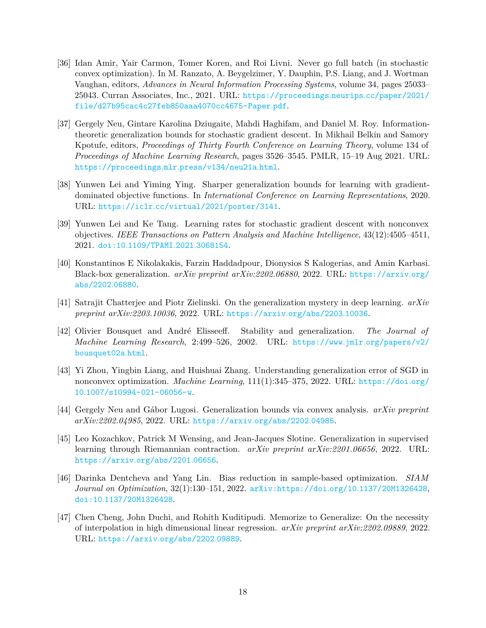- <span id="page-17-0"></span>[36] Idan Amir, Yair Carmon, Tomer Koren, and Roi Livni. Never go full batch (in stochastic convex optimization). In M. Ranzato, A. Beygelzimer, Y. Dauphin, P.S. Liang, and J. Wortman Vaughan, editors, *Advances in Neural Information Processing Systems*, volume 34, pages 25033– 25043. Curran Associates, Inc., 2021. URL: [https://proceedings](https://proceedings.neurips.cc/paper/2021/file/d27b95cac4c27feb850aaa4070cc4675-Paper.pdf)*.*neurips*.*cc/paper/2021/ [file/d27b95cac4c27feb850aaa4070cc4675-Paper](https://proceedings.neurips.cc/paper/2021/file/d27b95cac4c27feb850aaa4070cc4675-Paper.pdf)*.*pdf.
- <span id="page-17-1"></span>[37] Gergely Neu, Gintare Karolina Dziugaite, Mahdi Haghifam, and Daniel M. Roy. Informationtheoretic generalization bounds for stochastic gradient descent. In Mikhail Belkin and Samory Kpotufe, editors, *Proceedings of Thirty Fourth Conference on Learning Theory*, volume 134 of *Proceedings of Machine Learning Research*, pages 3526–3545. PMLR, 15–19 Aug 2021. URL: [https://proceedings](https://proceedings.mlr.press/v134/neu21a.html)*.*mlr*.*press/v134/neu21a*.*html.
- <span id="page-17-2"></span>[38] Yunwen Lei and Yiming Ying. Sharper generalization bounds for learning with gradientdominated objective functions. In *International Conference on Learning Representations*, 2020. URL: https://iclr*.*[cc/virtual/2021/poster/3141](https://iclr.cc/virtual/2021/poster/3141).
- <span id="page-17-3"></span>[39] Yunwen Lei and Ke Tang. Learning rates for stochastic gradient descent with nonconvex objectives. *IEEE Transactions on Pattern Analysis and Machine Intelligence*, 43(12):4505–4511, 2021. doi:10*.*[1109/TPAMI](https://doi.org/10.1109/TPAMI.2021.3068154)*.*2021*.*3068154.
- <span id="page-17-4"></span>[40] Konstantinos E Nikolakakis, Farzin Haddadpour, Dionysios S Kalogerias, and Amin Karbasi. Black-box generalization. *arXiv preprint arXiv:2202.06880*, 2022. URL: [https://arxiv](https://arxiv.org/abs/2202.06880)*.*org/ [abs/2202](https://arxiv.org/abs/2202.06880)*.*06880.
- <span id="page-17-5"></span>[41] Satrajit Chatterjee and Piotr Zielinski. On the generalization mystery in deep learning. *arXiv preprint arXiv:2203.10036*, 2022. URL: [https://arxiv](https://arxiv.org/abs/2203.10036)*.*org/abs/2203*.*10036.
- <span id="page-17-6"></span>[42] Olivier Bousquet and André Elisseeff. Stability and generalization. *The Journal of Machine Learning Research*, 2:499–526, 2002. URL: https://www*.*jmlr*.*[org/papers/v2/](https://www.jmlr.org/papers/v2/bousquet02a.html) [bousquet02a](https://www.jmlr.org/papers/v2/bousquet02a.html)*.*html.
- <span id="page-17-7"></span>[43] Yi Zhou, Yingbin Liang, and Huishuai Zhang. Understanding generalization error of SGD in nonconvex optimization. *Machine Learning*, 111(1):345–375, 2022. URL: [https://doi](https://doi.org/10.1007/s10994-021-06056-w)*.*org/ 10*.*[1007/s10994-021-06056-w](https://doi.org/10.1007/s10994-021-06056-w).
- <span id="page-17-8"></span>[44] Gergely Neu and Gábor Lugosi. Generalization bounds via convex analysis. *arXiv preprint arXiv:2202.04985*, 2022. URL: [https://arxiv](https://arxiv.org/abs/2202.04985)*.*org/abs/2202*.*04985.
- <span id="page-17-9"></span>[45] Leo Kozachkov, Patrick M Wensing, and Jean-Jacques Slotine. Generalization in supervised learning through Riemannian contraction. *arXiv preprint arXiv:2201.06656*, 2022. URL: [https://arxiv](https://arxiv.org/abs/2201.06656)*.*org/abs/2201*.*06656.
- <span id="page-17-10"></span>[46] Darinka Dentcheva and Yang Lin. Bias reduction in sample-based optimization. *SIAM Journal on Optimization*, 32(1):130–151, 2022. [arXiv:https://doi](http://arxiv.org/abs/https://doi.org/10.1137/20M1326428)*.*org/10*.*1137/20M1326428, doi:10*.*[1137/20M1326428](https://doi.org/10.1137/20M1326428).
- <span id="page-17-11"></span>[47] Chen Cheng, John Duchi, and Rohith Kuditipudi. Memorize to Generalize: On the necessity of interpolation in high dimensional linear regression. *arXiv preprint arXiv:2202.09889*, 2022. URL: [https://arxiv](https://arxiv.org/abs/2202.09889)*.*org/abs/2202*.*09889.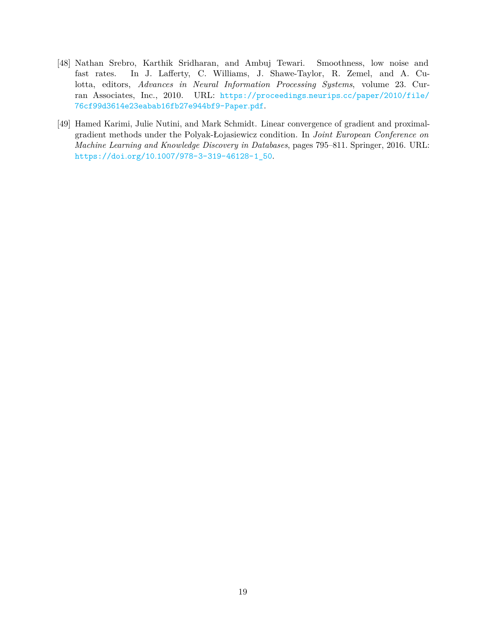- <span id="page-18-0"></span>[48] Nathan Srebro, Karthik Sridharan, and Ambuj Tewari. Smoothness, low noise and fast rates. In J. Lafferty, C. Williams, J. Shawe-Taylor, R. Zemel, and A. Culotta, editors, *Advances in Neural Information Processing Systems*, volume 23. Curran Associates, Inc., 2010. URL: [https://proceedings](https://proceedings.neurips.cc/paper/2010/file/76cf99d3614e23eabab16fb27e944bf9-Paper.pdf)*.*neurips*.*cc/paper/2010/file/ [76cf99d3614e23eabab16fb27e944bf9-Paper](https://proceedings.neurips.cc/paper/2010/file/76cf99d3614e23eabab16fb27e944bf9-Paper.pdf)*.*pdf.
- <span id="page-18-1"></span>[49] Hamed Karimi, Julie Nutini, and Mark Schmidt. Linear convergence of gradient and proximalgradient methods under the Polyak-Łojasiewicz condition. In *Joint European Conference on Machine Learning and Knowledge Discovery in Databases*, pages 795–811. Springer, 2016. URL: https://doi*.*org/10*.*[1007/978-3-319-46128-1\\_50](https://doi.org/10.1007/978-3-319-46128-1_50).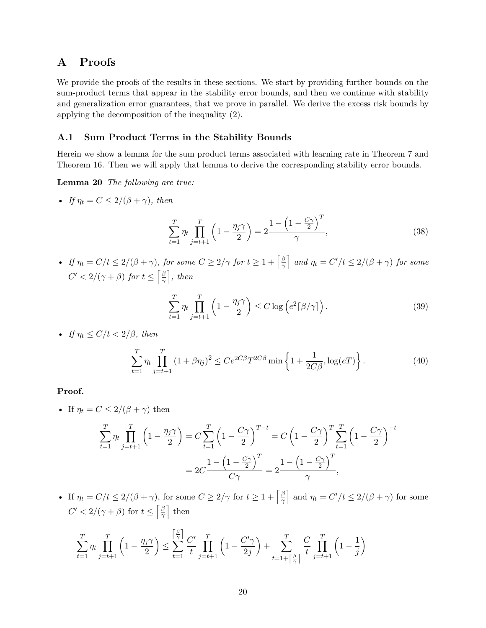## **A Proofs**

We provide the proofs of the results in these sections. We start by providing further bounds on the sum-product terms that appear in the stability error bounds, and then we continue with stability and generalization error guarantees, that we prove in parallel. We derive the excess risk bounds by applying the decomposition of the inequality [\(2\)](#page-4-3).

#### <span id="page-19-1"></span>**A.1 Sum Product Terms in the Stability Bounds**

Herein we show a lemma for the sum product terms associated with learning rate in Theorem [7](#page-8-1) and Theorem [16.](#page-11-3) Then we will apply that lemma to derive the corresponding stability error bounds.

**Lemma 20** *The following are true:*

• *If*  $\eta_t = C \leq 2/(\beta + \gamma)$ , then

<span id="page-19-0"></span>
$$
\sum_{t=1}^{T} \eta_t \prod_{j=t+1}^{T} \left( 1 - \frac{\eta_j \gamma}{2} \right) = 2 \frac{1 - \left( 1 - \frac{C\gamma}{2} \right)^T}{\gamma},
$$
\n(38)

• *If*  $\eta_t = C/t \leq 2/(\beta + \gamma)$ , for some  $C \geq 2/\gamma$  for  $t \geq 1 + \lceil \frac{\beta}{\gamma} \rceil$  $\left[\frac{\beta}{\gamma}\right]$  and  $\eta_t = C'/t \leq 2/(\beta + \gamma)$  for some  $C' < 2/(\gamma + \beta)$  for  $t \leq \left[\frac{\beta}{\gamma}\right]$  $\frac{\beta}{\gamma}$ , then

$$
\sum_{t=1}^{T} \eta_t \prod_{j=t+1}^{T} \left( 1 - \frac{\eta_j \gamma}{2} \right) \le C \log \left( e^2 \left[ \frac{\beta}{\gamma} \right] \right). \tag{39}
$$

• *If*  $\eta_t \leq C/t < 2/\beta$ , then

$$
\sum_{t=1}^{T} \eta_t \prod_{j=t+1}^{T} (1 + \beta \eta_j)^2 \le C e^{2C\beta} T^{2C\beta} \min \left\{ 1 + \frac{1}{2C\beta}, \log(eT) \right\}.
$$
 (40)

#### **Proof.**

• If  $\eta_t = C \leq 2/(\beta + \gamma)$  then

$$
\sum_{t=1}^{T} \eta_t \prod_{j=t+1}^{T} \left( 1 - \frac{\eta_j \gamma}{2} \right) = C \sum_{t=1}^{T} \left( 1 - \frac{C\gamma}{2} \right)^{T-t} = C \left( 1 - \frac{C\gamma}{2} \right)^{T} \sum_{t=1}^{T} \left( 1 - \frac{C\gamma}{2} \right)^{-t}
$$

$$
= 2C \frac{1 - \left( 1 - \frac{C\gamma}{2} \right)^{T}}{C\gamma} = 2 \frac{1 - \left( 1 - \frac{C\gamma}{2} \right)^{T}}{\gamma},
$$

• If  $\eta_t = C/t \leq 2/(\beta + \gamma)$ , for some  $C \geq 2/\gamma$  for  $t \geq 1 + \left[\frac{\beta}{\gamma}\right]$  $\frac{\beta}{\gamma}$  and  $\eta_t = C'/t \leq 2/(\beta + \gamma)$  for some  $C' < 2/(\gamma + \beta)$  for  $t \leq \left[\frac{\beta}{\gamma}\right]$  $\frac{\beta}{\gamma}$  then

$$
\sum_{t=1}^T \eta_t \prod_{j=t+1}^T \left(1 - \frac{\eta_j \gamma}{2}\right) \le \sum_{t=1}^{\left\lceil \frac{\beta}{\gamma} \right\rceil} \frac{C'}{t} \prod_{j=t+1}^T \left(1 - \frac{C'\gamma}{2j}\right) + \sum_{t=1+\left\lceil \frac{\beta}{\gamma} \right\rceil}^T \frac{C}{t} \prod_{j=t+1}^T \left(1 - \frac{1}{j}\right)
$$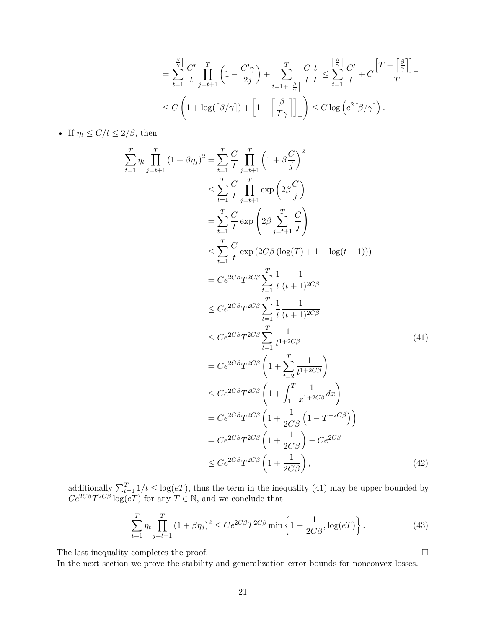$$
= \sum_{t=1}^{\left\lceil \frac{\beta}{\gamma} \right\rceil} \frac{C'}{t} \prod_{j=t+1}^{T} \left( 1 - \frac{C'\gamma}{2j} \right) + \sum_{t=1+\left\lceil \frac{\beta}{\gamma} \right\rceil}^{T} \frac{C}{t} \frac{t}{T} \le \sum_{t=1}^{\left\lceil \frac{\beta}{\gamma} \right\rceil} \frac{C'}{t} + C \frac{\left[ T - \left\lceil \frac{\beta}{\gamma} \right\rceil \right]_+}{T}
$$
  

$$
\le C \left( 1 + \log(\left\lceil \frac{\beta}{\gamma} \right\rceil) + \left[ 1 - \left\lceil \frac{\beta}{T\gamma} \right\rceil \right]_+ \right) \le C \log \left( e^2 \left\lceil \frac{\beta}{\gamma} \right\rceil \right).
$$

• If  $\eta_t \le C/t \le 2/\beta$ , then

$$
\sum_{t=1}^{T} \eta_{t} \prod_{j=t+1}^{T} (1+\beta \eta_{j})^{2} = \sum_{t=1}^{T} \frac{C}{t} \prod_{j=t+1}^{T} \left(1+\beta \frac{C}{j}\right)^{2}
$$
\n
$$
\leq \sum_{t=1}^{T} \frac{C}{t} \prod_{j=t+1}^{T} \exp\left(2\beta \frac{C}{j}\right)
$$
\n
$$
= \sum_{t=1}^{T} \frac{C}{t} \exp\left(2\beta \sum_{j=t+1}^{T} \frac{C}{j}\right)
$$
\n
$$
\leq \sum_{t=1}^{T} \frac{C}{t} \exp\left(2C\beta \left(\log(T) + 1 - \log(t+1)\right)\right)
$$
\n
$$
= C e^{2C\beta} T^{2C\beta} \sum_{t=1}^{T} \frac{1}{t} \frac{1}{(t+1)^{2C\beta}}
$$
\n
$$
\leq C e^{2C\beta} T^{2C\beta} \sum_{t=1}^{T} \frac{1}{t} \frac{1}{(t+1)^{2C\beta}}
$$
\n
$$
\leq C e^{2C\beta} T^{2C\beta} \sum_{t=1}^{T} \frac{1}{t^{1+2C\beta}} \tag{41}
$$
\n
$$
= C e^{2C\beta} T^{2C\beta} \left(1 + \sum_{t=2}^{T} \frac{1}{t^{1+2C\beta}}\right)
$$
\n
$$
\leq C e^{2C\beta} T^{2C\beta} \left(1 + \int_{1}^{T} \frac{1}{x^{1+2C\beta}} dx\right)
$$
\n
$$
= C e^{2C\beta} T^{2C\beta} \left(1 + \frac{1}{2C\beta} \left(1 - T^{-2C\beta}\right)\right)
$$
\n
$$
= C e^{2C\beta} T^{2C\beta} \left(1 + \frac{1}{2C\beta}\right) - C e^{2C\beta}
$$
\n
$$
\leq C e^{2C\beta} T^{2C\beta} \left(1 + \frac{1}{2C\beta}\right), \tag{42}
$$

additionally  $\sum_{t=1}^{T} 1/t \leq \log(eT)$ , thus the term in the inequality [\(41\)](#page-20-0) may be upper bounded by  $Ce^{2C\beta}T^{2C\beta}\log(eT)$  for any  $T \in \mathbb{N}$ , and we conclude that

<span id="page-20-0"></span>
$$
\sum_{t=1}^{T} \eta_t \prod_{j=t+1}^{T} (1 + \beta \eta_j)^2 \le Ce^{2C\beta} T^{2C\beta} \min \left\{ 1 + \frac{1}{2C\beta}, \log(eT) \right\}.
$$
 (43)

The last inequality completes the proof.  $\Box$ 

In the next section we prove the stability and generalization error bounds for nonconvex losses.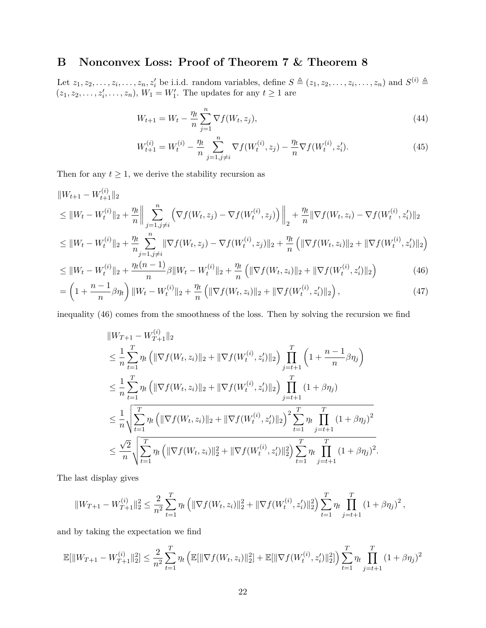## <span id="page-21-0"></span>**B Nonconvex Loss: Proof of Theorem [7](#page-8-1) & Theorem [8](#page-9-1)**

Let  $z_1, z_2, \ldots, z_i, \ldots, z_n, z'_i$  be i.i.d. random variables, define  $S \triangleq (z_1, z_2, \ldots, z_i, \ldots, z_n)$  and  $S^{(i)} \triangleq$  $(z_1, z_2, \ldots, z'_i, \ldots, z_n), W_1 = W'_1$ . The updates for any  $t \ge 1$  are

$$
W_{t+1} = W_t - \frac{\eta_t}{n} \sum_{j=1}^n \nabla f(W_t, z_j),
$$
\n(44)

<span id="page-21-1"></span>
$$
W_{t+1}^{(i)} = W_t^{(i)} - \frac{\eta_t}{n} \sum_{j=1, j \neq i}^n \nabla f(W_t^{(i)}, z_j) - \frac{\eta_t}{n} \nabla f(W_t^{(i)}, z_i').
$$
\n(45)

Then for any  $t \geq 1$ , we derive the stability recursion as

$$
\|W_{t+1} - W_{t+1}^{(i)}\|_{2}
$$
\n
$$
\leq \|W_t - W_t^{(i)}\|_{2} + \frac{\eta_t}{n} \Big\| \sum_{j=1, j \neq i}^{n} \left( \nabla f(W_t, z_j) - \nabla f(W_t^{(i)}, z_j) \right) \Big\|_{2} + \frac{\eta_t}{n} \|\nabla f(W_t, z_i) - \nabla f(W_t^{(i)}, z_i')\|_{2}
$$
\n
$$
\leq \|W_t - W_t^{(i)}\|_{2} + \frac{\eta_t}{n} \sum_{j=1, j \neq i}^{n} \|\nabla f(W_t, z_j) - \nabla f(W_t^{(i)}, z_j)\|_{2} + \frac{\eta_t}{n} \left( \|\nabla f(W_t, z_i)\|_{2} + \|\nabla f(W_t^{(i)}, z_i')\|_{2} \right)
$$

$$
\leq \|W_t - W_t^{(i)}\|_2 + \frac{\eta_t(n-1)}{n} \beta \|W_t - W_t^{(i)}\|_2 + \frac{\eta_t}{n} \left( \|\nabla f(W_t, z_i)\|_2 + \|\nabla f(W_t^{(i)}, z_i')\|_2 \right) \tag{46}
$$

$$
= \left(1 + \frac{n-1}{n}\beta\eta_t\right) \|W_t - W_t^{(i)}\|_2 + \frac{\eta_t}{n} \left( \|\nabla f(W_t, z_i)\|_2 + \|\nabla f(W_t^{(i)}, z_i')\|_2 \right),\tag{47}
$$

inequality [\(46\)](#page-21-1) comes from the smoothness of the loss. Then by solving the recursion we find

$$
\|W_{T+1} - W_{T+1}^{(i)}\|_{2}
$$
\n
$$
\leq \frac{1}{n} \sum_{t=1}^{T} \eta_{t} \left( \|\nabla f(W_{t}, z_{i})\|_{2} + \|\nabla f(W_{t}^{(i)}, z_{i}')\|_{2} \right) \prod_{j=t+1}^{T} \left( 1 + \frac{n-1}{n} \beta \eta_{j} \right)
$$
\n
$$
\leq \frac{1}{n} \sum_{t=1}^{T} \eta_{t} \left( \|\nabla f(W_{t}, z_{i})\|_{2} + \|\nabla f(W_{t}^{(i)}, z_{i}')\|_{2} \right) \prod_{j=t+1}^{T} (1 + \beta \eta_{j})
$$
\n
$$
\leq \frac{1}{n} \sqrt{\sum_{t=1}^{T} \eta_{t} \left( \|\nabla f(W_{t}, z_{i})\|_{2} + \|\nabla f(W_{t}^{(i)}, z_{i}')\|_{2} \right)^{2} \sum_{t=1}^{T} \eta_{t} \prod_{j=t+1}^{T} (1 + \beta \eta_{j})^{2}}
$$
\n
$$
\leq \frac{\sqrt{2}}{n} \sqrt{\sum_{t=1}^{T} \eta_{t} \left( \|\nabla f(W_{t}, z_{i})\|_{2}^{2} + \|\nabla f(W_{t}^{(i)}, z_{i}')\|_{2}^{2} \right) \sum_{t=1}^{T} \eta_{t} \prod_{j=t+1}^{T} (1 + \beta \eta_{j})^{2}}.
$$

The last display gives

$$
||W_{T+1} - W_{T+1}^{(i)}||_2^2 \le \frac{2}{n^2} \sum_{t=1}^T \eta_t \left( ||\nabla f(W_t, z_i)||_2^2 + ||\nabla f(W_t^{(i)}, z_i')||_2^2 \right) \sum_{t=1}^T \eta_t \prod_{j=t+1}^T (1 + \beta \eta_j)^2,
$$

and by taking the expectation we find

$$
\mathbb{E}[\|W_{T+1} - W_{T+1}^{(i)}\|_2^2] \le \frac{2}{n^2} \sum_{t=1}^T \eta_t \left( \mathbb{E}[\|\nabla f(W_t, z_i)\|_2^2] + \mathbb{E}[\|\nabla f(W_t^{(i)}, z_i')\|_2^2] \right) \sum_{t=1}^T \eta_t \prod_{j=t+1}^T (1 + \beta \eta_j)^2
$$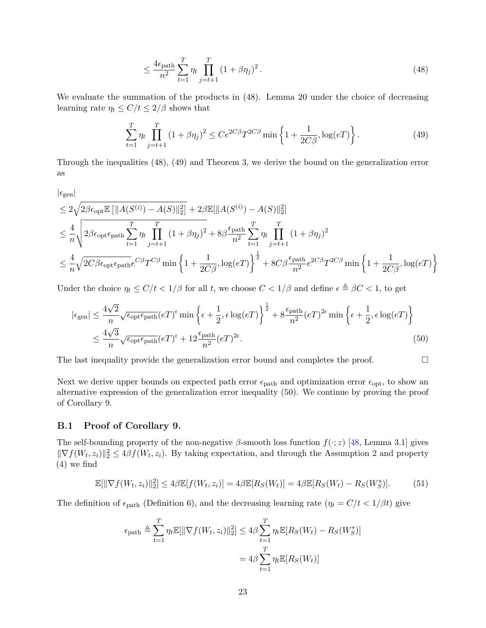<span id="page-22-1"></span><span id="page-22-0"></span>
$$
\leq \frac{4\epsilon_{\text{path}}}{n^2} \sum_{t=1}^{T} \eta_t \prod_{j=t+1}^{T} (1 + \beta \eta_j)^2.
$$
 (48)

We evaluate the summation of the products in [\(48\)](#page-22-0). Lemma [20](#page-19-0) under the choice of decreasing learning rate  $\eta_t \leq C/t \leq 2/\beta$  shows that

$$
\sum_{t=1}^{T} \eta_t \prod_{j=t+1}^{T} (1 + \beta \eta_j)^2 \le Ce^{2C\beta} T^{2C\beta} \min \left\{ 1 + \frac{1}{2C\beta}, \log(eT) \right\}.
$$
 (49)

Through the inequalities [\(48\)](#page-22-0), [\(49\)](#page-22-1) and Theorem [3,](#page-5-0) we derive the bound on the generalization error as

$$
\begin{split} &|\epsilon_{\text{gen}}|\\ &\leq 2\sqrt{2\beta\epsilon_{\text{opt}}\mathbb{E}\left[\|A(S^{(i)})-A(S)\|_2^2\right]}+2\beta\mathbb{E}[\|A(S^{(i)})-A(S)\|_2^2]\\ &\leq \frac{4}{n}\sqrt{2\beta\epsilon_{\text{opt}}\epsilon_{\text{path}}\sum_{t=1}^T\eta_t\prod_{j=t+1}^T(1+\beta\eta_j)^2+8\beta\frac{\epsilon_{\text{path}}}{n^2}\sum_{t=1}^T\eta_t\prod_{j=t+1}^T(1+\beta\eta_j)^2}\\ &\leq \frac{4}{n}\sqrt{2C\beta\epsilon_{\text{opt}}\epsilon_{\text{path}}e^{C\beta}T^{C\beta}\min\left\{1+\frac{1}{2C\beta},\log(eT)\right\}^{\frac{1}{2}}+8C\beta\frac{\epsilon_{\text{path}}}{n^2}e^{2C\beta}T^{2C\beta}\min\left\{1+\frac{1}{2C\beta},\log(eT)\right\}} \end{split}
$$

Under the choice  $\eta_t \leq C/t < 1/\beta$  for all *t*, we choose  $C < 1/\beta$  and define  $\epsilon \triangleq \beta C < 1$ , to get

<span id="page-22-2"></span>
$$
|\epsilon_{gen}| \leq \frac{4\sqrt{2}}{n} \sqrt{\epsilon_{\text{opt}} \epsilon_{\text{path}}} (eT)^{\epsilon} \min \left\{ \epsilon + \frac{1}{2}, \epsilon \log(eT) \right\}^{\frac{1}{2}} + 8 \frac{\epsilon_{\text{path}}}{n^2} (eT)^{2\epsilon} \min \left\{ \epsilon + \frac{1}{2}, \epsilon \log(eT) \right\}
$$
  

$$
\leq \frac{4\sqrt{3}}{n} \sqrt{\epsilon_{\text{opt}} \epsilon_{\text{path}}} (eT)^{\epsilon} + 12 \frac{\epsilon_{\text{path}}}{n^2} (eT)^{2\epsilon}.
$$
 (50)

The last inequality provide the generalization error bound and completes the proof.  $\Box$ 

Next we derive upper bounds on expected path error  $\epsilon_{\text{path}}$  and optimization error  $\epsilon_{\text{opt}}$ , to show an alternative expression of the generalization error inequality [\(50\)](#page-22-2). We continue by proving the proof of Corollary [9.](#page-9-4)

#### **B.1 Proof of Corollary [9.](#page-9-4)**

The self-bounding property of the non-negative *β*-smooth loss function *f*(·; *z*) [\[48,](#page-18-0) Lemma 3.1] gives  $\|\nabla f(W_t, z_i)\|_2^2 \leq 4\beta f(W_t, z_i)$  $\|\nabla f(W_t, z_i)\|_2^2 \leq 4\beta f(W_t, z_i)$  $\|\nabla f(W_t, z_i)\|_2^2 \leq 4\beta f(W_t, z_i)$ . By taking expectation, and through the Assumption 2 and property [\(4\)](#page-5-1) we find

$$
\mathbb{E}[\|\nabla f(W_t, z_i)\|_2^2] \le 4\beta \mathbb{E}[f(W_t, z_i)] = 4\beta \mathbb{E}[R_S(W_t)] = 4\beta \mathbb{E}[R_S(W_t) - R_S(W_s^*)].\tag{51}
$$

The definition of  $\epsilon_{\text{path}}$  (Definition [6\)](#page-8-2), and the decreasing learning rate  $(\eta_t = C/t < 1/\beta t)$  give

$$
\epsilon_{\text{path}} \triangleq \sum_{t=1}^{T} \eta_t \mathbb{E}[\|\nabla f(W_t, z_i)\|_2^2] \le 4\beta \sum_{t=1}^{T} \eta_t \mathbb{E}[R_S(W_t) - R_S(W_S^*)]
$$

$$
= 4\beta \sum_{t=1}^{T} \eta_t \mathbb{E}[R_S(W_t)]
$$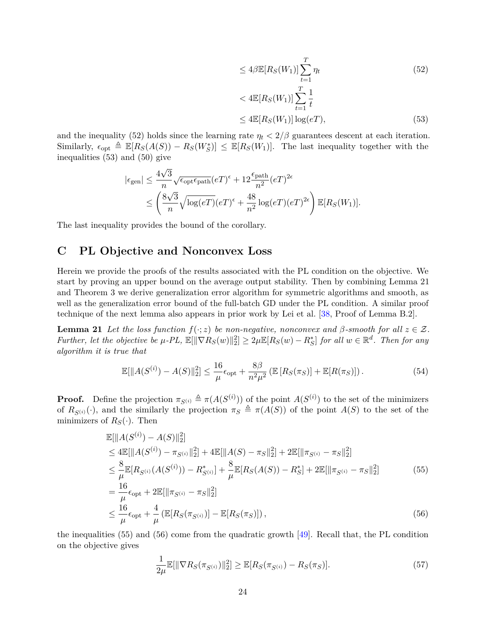<span id="page-23-1"></span>
$$
\leq 4\beta \mathbb{E}[R_S(W_1)] \sum_{t=1}^T \eta_t
$$
\n
$$
\leq 4\mathbb{E}[R_S(W_1)] \sum_{t=1}^T \frac{1}{t}
$$
\n(52)

<span id="page-23-3"></span><span id="page-23-2"></span>
$$
\leq 4\mathbb{E}[R_S(W_1)] \sum_{t=1} \overline{t}
$$
  

$$
\leq 4\mathbb{E}[R_S(W_1)] \log(eT), \tag{53}
$$

and the inequality [\(52\)](#page-23-1) holds since the learning rate  $\eta_t < 2/\beta$  guarantees descent at each iteration. Similarly,  $\epsilon_{\text{opt}} \triangleq \mathbb{E}[R_S(A(S)) - R_S(W_S^*)] \leq \mathbb{E}[R_S(W_1)]$ . The last inequality together with the inequalities [\(53\)](#page-23-2) and [\(50\)](#page-22-2) give

$$
\begin{aligned} |\epsilon_{\text{gen}}| &\leq \frac{4\sqrt{3}}{n}\sqrt{\epsilon_{\text{opt}}\epsilon_{\text{path}}}(eT)^{\epsilon}+12\frac{\epsilon_{\text{path}}}{n^2}(eT)^{2\epsilon} \\ &\leq \left(\frac{8\sqrt{3}}{n}\sqrt{\log(eT)}(eT)^{\epsilon}+\frac{48}{n^2}\log(eT)(eT)^{2\epsilon}\right)\mathbb{E}[R_S(W_1)]. \end{aligned}
$$

The last inequality provides the bound of the corollary.

## <span id="page-23-0"></span>**C PL Objective and Nonconvex Loss**

Herein we provide the proofs of the results associated with the PL condition on the objective. We start by proving an upper bound on the average output stability. Then by combining Lemma [21](#page-23-3) and Theorem [3](#page-5-0) we derive generalization error algorithm for symmetric algorithms and smooth, as well as the generalization error bound of the full-batch GD under the PL condition. A similar proof technique of the next lemma also appears in prior work by Lei et al. [\[38,](#page-17-2) Proof of Lemma B.2].

**Lemma 21** *Let the loss function*  $f(\cdot; z)$  *be non-negative, nonconvex and*  $\beta$ *-smooth for all*  $z \in \mathcal{Z}$ *.*  $Further, let the objective be  $\mu$ - $PL$ ,  $\mathbb{E}[\|\nabla R_S(w)\|_2^2] \geq 2\mu \mathbb{E}[R_S(w) - R_S^*]$  *for all*  $w \in \mathbb{R}^d$ . Then for any$ *algorithm it is true that*

$$
\mathbb{E}[\|A(S^{(i)}) - A(S)\|_2^2] \le \frac{16}{\mu} \epsilon_{\text{opt}} + \frac{8\beta}{n^2 \mu^2} \left( \mathbb{E}\left[R_S(\pi_S)\right] + \mathbb{E}[R(\pi_S)] \right). \tag{54}
$$

**Proof.** Define the projection  $\pi_{S^{(i)}} \triangleq \pi(A(S^{(i)}))$  of the point  $A(S^{(i)})$  to the set of the minimizers of  $R_{S(i)}(\cdot)$ , and the similarly the projection  $\pi_S \triangleq \pi(A(S))$  of the point  $A(S)$  to the set of the minimizers of  $R_S(\cdot)$ . Then

$$
\mathbb{E}[\|A(S^{(i)}) - A(S)\|_2^2] \n\leq 4\mathbb{E}[\|A(S^{(i)}) - \pi_{S^{(i)}}\|_2^2] + 4\mathbb{E}[\|A(S) - \pi_S\|_2^2] + 2\mathbb{E}[\|\pi_{S^{(i)}} - \pi_S\|_2^2] \n\leq \frac{8}{\mu} \mathbb{E}[R_{S^{(i)}}(A(S^{(i)})) - R_{S^{(i)}}^*] + \frac{8}{\mu} \mathbb{E}[R_S(A(S)) - R_S^*] + 2\mathbb{E}[\|\pi_{S^{(i)}} - \pi_S\|_2^2] \n= \frac{16}{\mu} \epsilon_{\text{opt}} + 2\mathbb{E}[\|\pi_{S^{(i)}} - \pi_S\|_2^2] \n\leq \frac{16}{\mu} \epsilon_{\text{opt}} + \frac{4}{\mu} (\mathbb{E}[R_S(\pi_{S^{(i)}})] - \mathbb{E}[R_S(\pi_S)]),
$$
\n(56)

the inequalities [\(55\)](#page-23-4) and [\(56\)](#page-23-5) come from the quadratic growth [\[49\]](#page-18-1). Recall that, the PL condition on the objective gives

<span id="page-23-6"></span><span id="page-23-5"></span><span id="page-23-4"></span>
$$
\frac{1}{2\mu} \mathbb{E}[\|\nabla R_S(\pi_{S^{(i)}})\|_2^2] \ge \mathbb{E}[R_S(\pi_{S^{(i)}}) - R_S(\pi_S)].
$$
\n(57)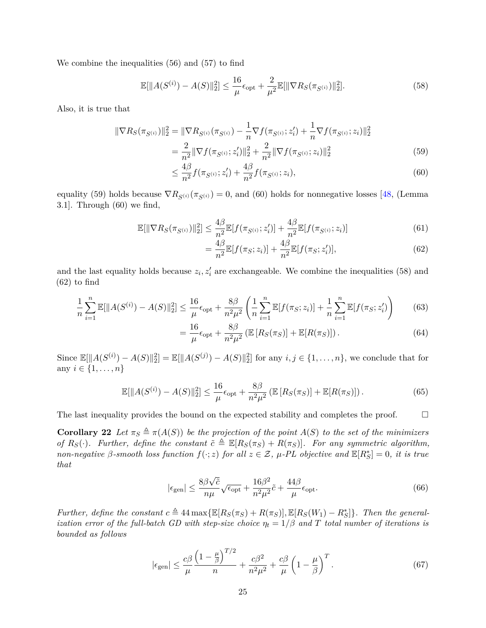We combine the inequalities [\(56\)](#page-23-5) and [\(57\)](#page-23-6) to find

$$
\mathbb{E}[\|A(S^{(i)}) - A(S)\|_2^2] \le \frac{16}{\mu} \epsilon_{\text{opt}} + \frac{2}{\mu^2} \mathbb{E}[\|\nabla R_S(\pi_{S^{(i)}})\|_2^2].
$$
\n(58)

Also, it is true that

$$
\|\nabla R_S(\pi_{S^{(i)}})\|_2^2 = \|\nabla R_{S^{(i)}}(\pi_{S^{(i)}}) - \frac{1}{n}\nabla f(\pi_{S^{(i)}}; z_i') + \frac{1}{n}\nabla f(\pi_{S^{(i)}}; z_i)\|_2^2
$$
  
= 
$$
\frac{2}{n^2} \|\nabla f(\pi_{S^{(i)}}; z_i')\|_2^2 + \frac{2}{n^2} \|\nabla f(\pi_{S^{(i)}}; z_i)\|_2^2
$$
(59)

<span id="page-24-2"></span>
$$
\leq \frac{4\beta}{n^2} f(\pi_{S^{(i)}}; z_i') + \frac{4\beta}{n^2} f(\pi_{S^{(i)}}; z_i),\tag{60}
$$

equality [\(59\)](#page-24-0) holds because  $\nabla R_{S^{(i)}}(\pi_{S^{(i)}}) = 0$ , and [\(60\)](#page-24-1) holds for nonnegative losses [\[48,](#page-18-0) (Lemma 3.1]. Through [\(60\)](#page-24-1) we find,

$$
\mathbb{E}[\|\nabla R_S(\pi_{S^{(i)}})\|_2^2] \le \frac{4\beta}{n^2} \mathbb{E}[f(\pi_{S^{(i)}}; z_i')] + \frac{4\beta}{n^2} \mathbb{E}[f(\pi_{S^{(i)}}; z_i)] \tag{61}
$$

<span id="page-24-3"></span><span id="page-24-1"></span><span id="page-24-0"></span>
$$
=\frac{4\beta}{n^2}\mathbb{E}[f(\pi_S; z_i)]+\frac{4\beta}{n^2}\mathbb{E}[f(\pi_S; z'_i)],\tag{62}
$$

and the last equality holds because  $z_i, z'_i$  are exchangeable. We combine the inequalities [\(58\)](#page-24-2) and [\(62\)](#page-24-3) to find

$$
\frac{1}{n}\sum_{i=1}^{n}\mathbb{E}[\|A(S^{(i)}) - A(S)\|_2^2] \le \frac{16}{\mu}\epsilon_{\text{opt}} + \frac{8\beta}{n^2\mu^2} \left(\frac{1}{n}\sum_{i=1}^{n}\mathbb{E}[f(\pi_S; z_i)] + \frac{1}{n}\sum_{i=1}^{n}\mathbb{E}[f(\pi_S; z'_i)\right) \tag{63}
$$

$$
= \frac{16}{\mu} \epsilon_{\text{opt}} + \frac{8\beta}{n^2 \mu^2} \left( \mathbb{E} \left[ R_S(\pi_S) \right] + \mathbb{E} [R(\pi_S)] \right). \tag{64}
$$

Since  $\mathbb{E}[\|A(S^{(i)}) - A(S)\|_2^2] = \mathbb{E}[\|A(S^{(j)}) - A(S)\|_2^2]$  for any  $i, j \in \{1, ..., n\}$ , we conclude that for any  $i \in \{1, ..., n\}$ 

$$
\mathbb{E}[\|A(S^{(i)}) - A(S)\|_2^2] \le \frac{16}{\mu} \epsilon_{\text{opt}} + \frac{8\beta}{n^2 \mu^2} \left( \mathbb{E}\left[R_S(\pi_S)\right] + \mathbb{E}[R(\pi_S)] \right). \tag{65}
$$

The last inequality provides the bound on the expected stability and completes the proof.  $\Box$ 

**Corollary 22** *Let*  $\pi_S \triangleq \pi(A(S))$  *be the projection of the point*  $A(S)$  *to the set of the minimizers of*  $R_S(\cdot)$ *. Further, define the constant*  $\tilde{c} \triangleq \mathbb{E}[R_S(\pi_S) + R(\pi_S)]$ *. For any symmetric algorithm, non-negative*  $\beta$ -smooth loss function  $f(\cdot; z)$  for all  $z \in \mathcal{Z}$ ,  $\mu$ -PL objective and  $\mathbb{E}[R_{S}^{*}] = 0$ , it is true *that*

$$
|\epsilon_{\text{gen}}| \le \frac{8\beta\sqrt{\tilde{c}}}{n\mu} \sqrt{\epsilon_{\text{opt}}} + \frac{16\beta^2}{n^2\mu^2} \tilde{c} + \frac{44\beta}{\mu} \epsilon_{\text{opt}}.\tag{66}
$$

*Further, define the constant*  $c \triangleq 44 \max{\{\mathbb{E}[R_S(\pi_S) + R(\pi_S)]\}, \mathbb{E}[R_S(W_1) - R_S^*]\}}$ *. Then the generalization error of the full-batch GD with step-size choice*  $\eta_t = 1/\beta$  and T total number of iterations is *bounded as follows*

$$
|\epsilon_{\text{gen}}| \leq \frac{c\beta}{\mu} \frac{\left(1 - \frac{\mu}{\beta}\right)^{T/2}}{n} + \frac{c\beta^2}{n^2\mu^2} + \frac{c\beta}{\mu} \left(1 - \frac{\mu}{\beta}\right)^T. \tag{67}
$$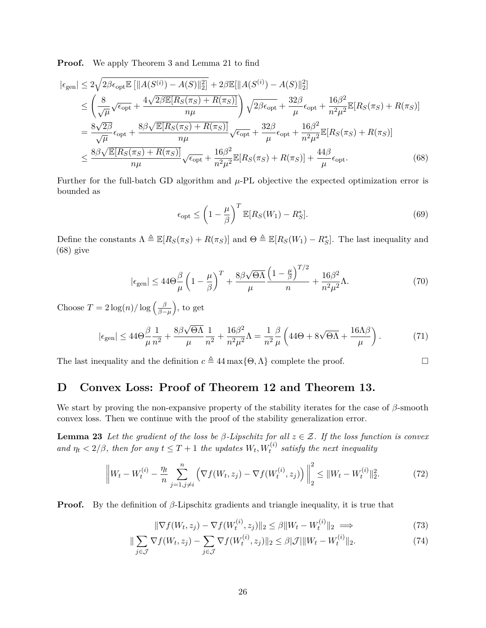**Proof.** We apply Theorem [3](#page-5-0) and Lemma [21](#page-23-3) to find

$$
\begin{split}\n|\epsilon_{\text{gen}}| &\leq 2\sqrt{2\beta\epsilon_{\text{opt}}\mathbb{E}\left[\|A(S^{(i)}) - A(S)\|_{2}^{2}\right]} + 2\beta\mathbb{E}[\|A(S^{(i)}) - A(S)\|_{2}^{2}] \\
&\leq \left(\frac{8}{\sqrt{\mu}}\sqrt{\epsilon_{\text{opt}}} + \frac{4\sqrt{2\beta\mathbb{E}[R_{S}(\pi_{S}) + R(\pi_{S})]}}{n\mu}\right)\sqrt{2\beta\epsilon_{\text{opt}}} + \frac{32\beta}{\mu}\epsilon_{\text{opt}} + \frac{16\beta^{2}}{n^{2}\mu^{2}}\mathbb{E}[R_{S}(\pi_{S}) + R(\pi_{S})] \\
&= \frac{8\sqrt{2\beta}}{\sqrt{\mu}}\epsilon_{\text{opt}} + \frac{8\beta\sqrt{\mathbb{E}[R_{S}(\pi_{S}) + R(\pi_{S})]}}{n\mu}\sqrt{\epsilon_{\text{opt}}} + \frac{32\beta}{\mu}\epsilon_{\text{opt}} + \frac{16\beta^{2}}{n^{2}\mu^{2}}\mathbb{E}[R_{S}(\pi_{S}) + R(\pi_{S})] \\
&\leq \frac{8\beta\sqrt{\mathbb{E}[R_{S}(\pi_{S}) + R(\pi_{S})]}}{n\mu}\sqrt{\epsilon_{\text{opt}}} + \frac{16\beta^{2}}{n^{2}\mu^{2}}\mathbb{E}[R_{S}(\pi_{S}) + R(\pi_{S})] + \frac{44\beta}{\mu}\epsilon_{\text{opt}}.\n\end{split} \tag{68}
$$

Further for the full-batch GD algorithm and  $\mu$ -PL objective the expected optimization error is bounded as

<span id="page-25-1"></span>
$$
\epsilon_{\rm opt} \le \left(1 - \frac{\mu}{\beta}\right)^T \mathbb{E}[R_S(W_1) - R_S^*].\tag{69}
$$

Define the constants  $\Lambda \triangleq \mathbb{E}[R_S(\pi_S) + R(\pi_S)]$  and  $\Theta \triangleq \mathbb{E}[R_S(W_1) - R_S^*]$ . The last inequality and [\(68\)](#page-25-1) give

$$
|\epsilon_{\text{gen}}| \le 44\Theta \frac{\beta}{\mu} \left(1 - \frac{\mu}{\beta}\right)^{T} + \frac{8\beta\sqrt{\Theta\Lambda}}{\mu} \frac{\left(1 - \frac{\mu}{\beta}\right)^{T/2}}{n} + \frac{16\beta^{2}}{n^{2}\mu^{2}} \Lambda. \tag{70}
$$

Choose  $T = 2 \log(n) / \log \left( \frac{\beta}{\beta - 1} \right)$ *β*−*µ* , to get

$$
|\epsilon_{\text{gen}}| \le 44\Theta \frac{\beta}{\mu} \frac{1}{n^2} + \frac{8\beta\sqrt{\Theta\Lambda}}{\mu} \frac{1}{n^2} + \frac{16\beta^2}{n^2\mu^2} \Lambda = \frac{1}{n^2} \frac{\beta}{\mu} \left( 44\Theta + 8\sqrt{\Theta\Lambda} + \frac{16\Lambda\beta}{\mu} \right). \tag{71}
$$

The last inequality and the definition  $c \triangleq 44 \max\{ \Theta, \Lambda \}$  complete the proof. □

## <span id="page-25-0"></span>**D Convex Loss: Proof of Theorem [12](#page-10-2) and Theorem [13.](#page-10-0)**

We start by proving the non-expansive property of the stability iterates for the case of *β*-smooth convex loss. Then we continue with the proof of the stability generalization error.

**Lemma 23** Let the gradient of the loss be  $\beta$ -Lipschitz for all  $z \in \mathcal{Z}$ . If the loss function is convex *and*  $\eta_t < 2/\beta$ , then for any  $t \leq T + 1$  the updates  $W_t, W_t^{(i)}$  satisfy the next inequality

$$
\left\|W_t - W_t^{(i)} - \frac{\eta_t}{n} \sum_{j=1, j \neq i}^n \left(\nabla f(W_t, z_j) - \nabla f(W_t^{(i)}, z_j)\right)\right\|_2^2 \le \|W_t - W_t^{(i)}\|_2^2. \tag{72}
$$

**Proof.** By the definition of *β*-Lipschitz gradients and triangle inequality, it is true that

<span id="page-25-3"></span><span id="page-25-2"></span>
$$
\|\nabla f(W_t, z_j) - \nabla f(W_t^{(i)}, z_j)\|_2 \le \beta \|W_t - W_t^{(i)}\|_2 \implies (73)
$$

$$
\|\sum_{j\in\mathcal{J}}\nabla f(W_t, z_j) - \sum_{j\in\mathcal{J}}\nabla f(W_t^{(i)}, z_j)\|_2 \leq \beta|\mathcal{J}|\|W_t - W_t^{(i)}\|_2.
$$
\n(74)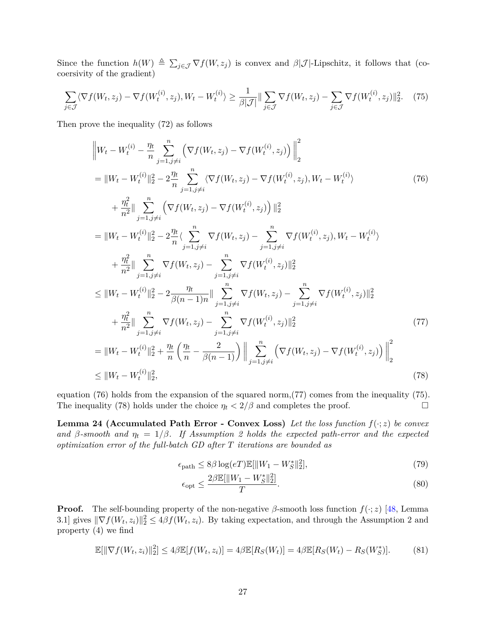Since the function  $h(W) \triangleq \sum_{j \in \mathcal{J}} \nabla f(W, z_j)$  is convex and  $\beta |\mathcal{J}|$ -Lipschitz, it follows that (cocoersivity of the gradient)

$$
\sum_{j\in\mathcal{J}}\langle\nabla f(W_t,z_j)-\nabla f(W_t^{(i)},z_j),W_t-W_t^{(i)}\rangle\geq\frac{1}{\beta|\mathcal{J}|}\|\sum_{j\in\mathcal{J}}\nabla f(W_t,z_j)-\sum_{j\in\mathcal{J}}\nabla f(W_t^{(i)},z_j)\|_2^2.\tag{75}
$$

Then prove the inequality [\(72\)](#page-25-2) as follows

<span id="page-26-2"></span><span id="page-26-0"></span>
$$
\|W_t - W_t^{(i)} - \frac{n_t}{n} \sum_{j=1, j \neq i}^n \left( \nabla f(W_t, z_j) - \nabla f(W_t^{(i)}, z_j) \right) \Big\|_2^2
$$
\n
$$
= \|W_t - W_t^{(i)}\|_2^2 - 2\frac{n_t}{n} \sum_{j=1, j \neq i}^n \left( \nabla f(W_t, z_j) - \nabla f(W_t^{(i)}, z_j), W_t - W_t^{(i)} \right)
$$
\n
$$
+ \frac{n_t^2}{n^2} \Big\| \sum_{j=1, j \neq i}^n \left( \nabla f(W_t, z_j) - \nabla f(W_t^{(i)}, z_j) \right) \Big\|_2^2
$$
\n
$$
= \|W_t - W_t^{(i)}\|_2^2 - 2\frac{n_t}{n} \left\langle \sum_{j=1, j \neq i}^n \nabla f(W_t, z_j) - \sum_{j=1, j \neq i}^n \nabla f(W_t^{(i)}, z_j), W_t - W_t^{(i)} \right\rangle
$$
\n
$$
+ \frac{n_t^2}{n^2} \Big\| \sum_{j=1, j \neq i}^n \nabla f(W_t, z_j) - \sum_{j=1, j \neq i}^n \nabla f(W_t^{(i)}, z_j) \Big\|_2^2
$$
\n
$$
\leq \|W_t - W_t^{(i)}\|_2^2 - 2\frac{n_t}{\beta(n-1)n} \Big\| \sum_{j=1, j \neq i}^n \nabla f(W_t, z_j) - \sum_{j=1, j \neq i}^n \nabla f(W_t^{(i)}, z_j) \Big\|_2^2
$$
\n
$$
+ \frac{n_t^2}{n^2} \Big\| \sum_{j=1, j \neq i}^n \nabla f(W_t, z_j) - \sum_{j=1, j \neq i}^n \nabla f(W_t^{(i)}, z_j) \Big\|_2^2
$$
\n
$$
= \|W_t - W_t^{(i)}\|_2^2 + \frac{n_t}{n} \left( \frac{n_t}{n} - \frac{2}{\beta(n-1)} \right) \Big\| \sum_{j=1, j \neq i}^n \left( \nabla f(W_t, z_j) - \nabla f(W_t^{(i)}, z_j) \right) \
$$

equation [\(76\)](#page-26-0) holds from the expansion of the squared norm,[\(77\)](#page-26-1) comes from the inequality [\(75\)](#page-26-2). The inequality [\(78\)](#page-26-3) holds under the choice  $\eta_t < 2/\beta$  and completes the proof. □

**Lemma 24 (Accumulated Path Error - Convex Loss)** Let the loss function  $f(\cdot; z)$  be convex *and β*-smooth and  $\eta_t = 1/\beta$ . If Assumption [2](#page-4-1) holds the expected path-error and the expected *optimization error of the full-batch GD after T iterations are bounded as*

<span id="page-26-3"></span><span id="page-26-1"></span>
$$
\epsilon_{\text{path}} \le 8\beta \log(eT) \mathbb{E}[\|W_1 - W_S^*\|_2^2],\tag{79}
$$

<span id="page-26-5"></span><span id="page-26-4"></span>
$$
\epsilon_{\rm opt} \le \frac{2\beta \mathbb{E}[\|W_1 - W_S^*\|_2^2]}{T}.\tag{80}
$$

**Proof.** The self-bounding property of the non-negative  $\beta$ -smooth loss function  $f(\cdot; z)$  [\[48,](#page-18-0) Lemma 3.1] gives  $\|\nabla f(W_t, z_i)\|_2^2 \leq 4\beta f(W_t, z_i)$  $\|\nabla f(W_t, z_i)\|_2^2 \leq 4\beta f(W_t, z_i)$  $\|\nabla f(W_t, z_i)\|_2^2 \leq 4\beta f(W_t, z_i)$ . By taking expectation, and through the Assumption 2 and property [\(4\)](#page-5-1) we find

$$
\mathbb{E}[\|\nabla f(W_t, z_i)\|_2^2] \le 4\beta \mathbb{E}[f(W_t, z_i)] = 4\beta \mathbb{E}[R_S(W_t)] = 4\beta \mathbb{E}[R_S(W_t) - R_S(W_s^*)].\tag{81}
$$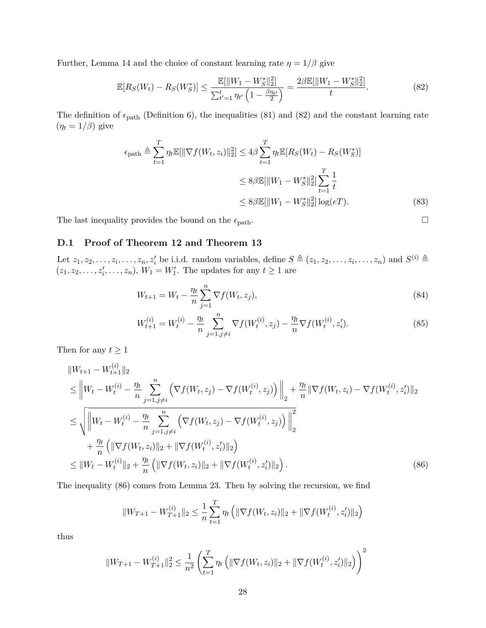Further, Lemma [14](#page-11-1) and the choice of constant learning rate  $\eta = 1/\beta$  give

<span id="page-27-0"></span>
$$
\mathbb{E}[R_S(W_t) - R_S(W_S^*)] \le \frac{\mathbb{E}[\|W_1 - W_S^*\|_2^2]}{\sum_{t'=1}^t \eta_{t'} \left(1 - \frac{\beta \eta_{t'}}{2}\right)} = \frac{2\beta \mathbb{E}[\|W_1 - W_S^*\|_2^2]}{t}.\tag{82}
$$

The definition of  $\epsilon_{\text{path}}$  (Definition [6\)](#page-8-2), the inequalities [\(81\)](#page-26-4) and [\(82\)](#page-27-0) and the constant learning rate  $(\eta_t = 1/\beta)$  give

$$
\epsilon_{\text{path}} \triangleq \sum_{t=1}^{T} \eta_t \mathbb{E}[\|\nabla f(W_t, z_i)\|_2^2] \le 4\beta \sum_{t=1}^{T} \eta_t \mathbb{E}[R_S(W_t) - R_S(W_S^*)]
$$
  

$$
\le 8\beta \mathbb{E}[\|W_1 - W_S^*\|_2^2] \sum_{t=1}^{T} \frac{1}{t}
$$
  

$$
\le 8\beta \mathbb{E}[\|W_1 - W_S^*\|_2^2] \log(eT).
$$
 (83)

The last inequality provides the bound on the  $\epsilon_{\text{path}}$ .  $\Box$ 

### **D.1 Proof of Theorem [12](#page-10-2) and Theorem [13](#page-10-0)**

Let  $z_1, z_2, \ldots, z_i, \ldots, z_n, z'_i$  be i.i.d. random variables, define  $S \triangleq (z_1, z_2, \ldots, z_i, \ldots, z_n)$  and  $S^{(i)} \triangleq$  $(z_1, z_2, \ldots, z'_i, \ldots, z_n), W_1 = W'_1$ . The updates for any  $t \ge 1$  are

$$
W_{t+1} = W_t - \frac{\eta_t}{n} \sum_{j=1}^n \nabla f(W_t, z_j),
$$
\n(84)

$$
W_{t+1}^{(i)} = W_t^{(i)} - \frac{\eta_t}{n} \sum_{j=1, j \neq i}^n \nabla f(W_t^{(i)}, z_j) - \frac{\eta_t}{n} \nabla f(W_t^{(i)}, z_i').
$$
\n(85)

Then for any  $t \geq 1$ 

$$
||W_{t+1} - W_{t+1}^{(i)}||_2
$$
  
\n
$$
\leq ||W_t - W_t^{(i)} - \frac{\eta_t}{n} \sum_{j=1, j\neq i}^n \left( \nabla f(W_t, z_j) - \nabla f(W_t^{(i)}, z_j) \right) ||_2 + \frac{\eta_t}{n} || \nabla f(W_t, z_i) - \nabla f(W_t^{(i)}, z'_i) ||_2
$$
  
\n
$$
\leq \sqrt{||W_t - W_t^{(i)} - \frac{\eta_t}{n} \sum_{j=1, j\neq i}^n \left( \nabla f(W_t, z_j) - \nabla f(W_t^{(i)}, z_j) \right) ||_2^2}
$$
  
\n
$$
+ \frac{\eta_t}{n} \left( || \nabla f(W_t, z_i) ||_2 + || \nabla f(W_t^{(i)}, z'_i) ||_2 \right)
$$
  
\n
$$
\leq ||W_t - W_t^{(i)}||_2 + \frac{\eta_t}{n} \left( || \nabla f(W_t, z_i) ||_2 + || \nabla f(W_t^{(i)}, z'_i) ||_2 \right).
$$
\n(86)

The inequality [\(86\)](#page-27-1) comes from Lemma [23.](#page-25-3) Then by solving the recursion, we find

<span id="page-27-1"></span>
$$
||W_{T+1} - W_{T+1}^{(i)}||_2 \le \frac{1}{n} \sum_{t=1}^T \eta_t \left( ||\nabla f(W_t, z_i)||_2 + ||\nabla f(W_t^{(i)}, z_i')||_2 \right)
$$

thus

$$
||W_{T+1} - W_{T+1}^{(i)}||_2^2 \le \frac{1}{n^2} \left( \sum_{t=1}^T \eta_t \left( ||\nabla f(W_t, z_i)||_2 + ||\nabla f(W_t^{(i)}, z_i')||_2 \right) \right)^2
$$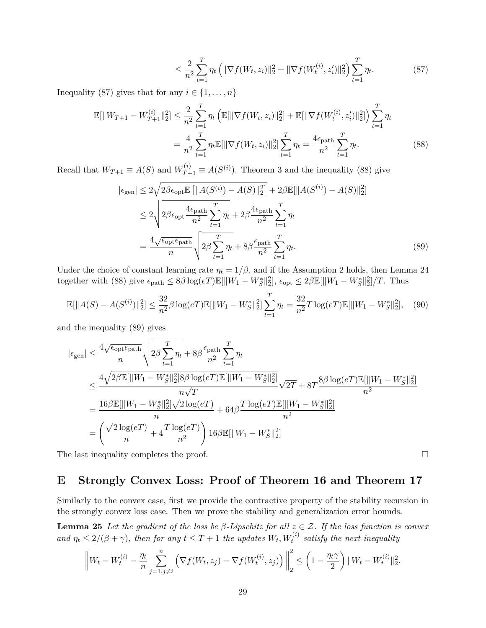<span id="page-28-3"></span><span id="page-28-2"></span><span id="page-28-1"></span>
$$
\leq \frac{2}{n^2} \sum_{t=1}^T \eta_t \left( \|\nabla f(W_t, z_i)\|_2^2 + \|\nabla f(W_t^{(i)}, z_i')\|_2^2 \right) \sum_{t=1}^T \eta_t.
$$
 (87)

Inequality [\(87\)](#page-28-1) gives that for any  $i \in \{1, \ldots, n\}$ 

$$
\mathbb{E}[\|W_{T+1} - W_{T+1}^{(i)}\|_2^2] \le \frac{2}{n^2} \sum_{t=1}^T \eta_t \left( \mathbb{E}[\|\nabla f(W_t, z_i)\|_2^2] + \mathbb{E}[\|\nabla f(W_t^{(i)}, z_i')\|_2^2] \right) \sum_{t=1}^T \eta_t
$$

$$
= \frac{4}{n^2} \sum_{t=1}^T \eta_t \mathbb{E}[\|\nabla f(W_t, z_i)\|_2^2] \sum_{t=1}^T \eta_t = \frac{4\epsilon_{\text{path}}}{n^2} \sum_{t=1}^T \eta_t. \tag{88}
$$

Recall that  $W_{T+1} \equiv A(S)$  and  $W_{T+1}^{(i)} \equiv A(S^{(i)})$ . Theorem [3](#page-5-0) and the inequality [\(88\)](#page-28-2) give

$$
|\epsilon_{gen}| \leq 2\sqrt{2\beta\epsilon_{\text{opt}}\mathbb{E}\left[\|A(S^{(i)}) - A(S)\|_{2}^{2}\right]} + 2\beta\mathbb{E}[\|A(S^{(i)}) - A(S)\|_{2}^{2}]
$$
  
\n
$$
\leq 2\sqrt{2\beta\epsilon_{\text{opt}}\frac{4\epsilon_{\text{path}}}{n^{2}}\sum_{t=1}^{T}\eta_{t}} + 2\beta\frac{4\epsilon_{\text{path}}}{n^{2}}\sum_{t=1}^{T}\eta_{t}
$$
  
\n
$$
= \frac{4\sqrt{\epsilon_{\text{opt}}\epsilon_{\text{path}}}}{n}\sqrt{2\beta\sum_{t=1}^{T}\eta_{t}} + 8\beta\frac{\epsilon_{\text{path}}}{n^{2}}\sum_{t=1}^{T}\eta_{t}. \tag{89}
$$

Under the choice of constant learning rate  $\eta_t = 1/\beta$ , and if the Assumption [2](#page-4-1) holds, then Lemma [24](#page-26-5) together with [\(88\)](#page-28-2) give  $\epsilon_{\text{path}} \leq 8\beta \log(eT) \mathbb{E}[\|W_1 - W_S^*\|_2^2], \, \epsilon_{\text{opt}} \leq 2\beta \mathbb{E}[\|W_1 - W_S^*\|_2^2]/T.$  Thus

$$
\mathbb{E}[\|A(S) - A(S^{(i)})\|_2^2] \le \frac{32}{n^2} \beta \log(eT) \mathbb{E}[\|W_1 - W_S^*\|_2^2] \sum_{t=1}^T \eta_t = \frac{32}{n^2} T \log(eT) \mathbb{E}[\|W_1 - W_S^*\|_2^2], \quad (90)
$$

and the inequality [\(89\)](#page-28-3) gives

$$
|\epsilon_{gen}| \leq \frac{4\sqrt{\epsilon_{opt}\epsilon_{path}}}{n} \sqrt{2\beta \sum_{t=1}^{T} \eta_t + 8\beta \frac{\epsilon_{path}}{n^2} \sum_{t=1}^{T} \eta_t}
$$
  
\n
$$
\leq \frac{4\sqrt{2\beta \mathbb{E}[\|W_1 - W_S^*\|_2^2] 8\beta \log(eT) \mathbb{E}[\|W_1 - W_S^*\|_2^2]}}{n\sqrt{T}} \sqrt{2T} + 8T \frac{8\beta \log(eT) \mathbb{E}[\|W_1 - W_S^*\|_2^2]}{n^2}
$$
  
\n
$$
= \frac{16\beta \mathbb{E}[\|W_1 - W_S^*\|_2^2] \sqrt{2 \log(eT)}}{n} + 64\beta \frac{T \log(eT) \mathbb{E}[\|W_1 - W_S^*\|_2^2]}{n^2}
$$
  
\n
$$
= \left(\frac{\sqrt{2 \log(eT)}}{n} + 4 \frac{T \log(eT)}{n^2}\right) 16\beta \mathbb{E}[\|W_1 - W_S^*\|_2^2]
$$

The last inequality completes the proof. □

## <span id="page-28-0"></span>**E Strongly Convex Loss: Proof of Theorem [16](#page-11-3) and Theorem [17](#page-11-0)**

Similarly to the convex case, first we provide the contractive property of the stability recursion in the strongly convex loss case. Then we prove the stability and generalization error bounds.

**Lemma 25** *Let the gradient of the loss be β-Lipschitz for all z* ∈ Z*. If the loss function is convex and*  $\eta_t \leq 2/(\beta + \gamma)$ , then for any  $t \leq T + 1$  the updates  $W_t, W_t^{(i)}$  satisfy the next inequality

<span id="page-28-4"></span>
$$
\left\|W_t - W_t^{(i)} - \frac{\eta_t}{n} \sum_{j=1, j \neq i}^n \left(\nabla f(W_t, z_j) - \nabla f(W_t^{(i)}, z_j)\right)\right\|_2^2 \leq \left(1 - \frac{\eta_t \gamma}{2}\right) \|W_t - W_t^{(i)}\|_2^2.
$$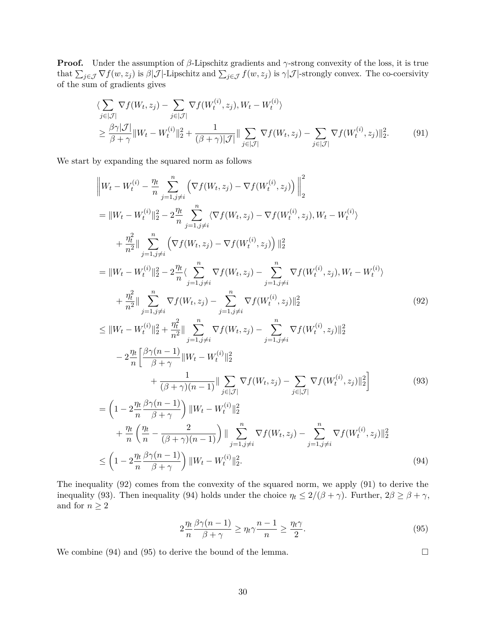**Proof.** Under the assumption of *β*-Lipschitz gradients and *γ*-strong convexity of the loss, it is true that  $\sum_{j\in\mathcal{J}} \nabla f(w, z_j)$  is  $\beta|\mathcal{J}|$ -Lipschitz and  $\sum_{j\in\mathcal{J}} f(w, z_j)$  is  $\gamma|\mathcal{J}|$ -strongly convex. The co-coersivity of the sum of gradients gives

<span id="page-29-1"></span>
$$
\langle \sum_{j \in |\mathcal{J}|} \nabla f(W_t, z_j) - \sum_{j \in |\mathcal{J}|} \nabla f(W_t^{(i)}, z_j), W_t - W_t^{(i)} \rangle
$$
  
\n
$$
\geq \frac{\beta \gamma |\mathcal{J}|}{\beta + \gamma} \|W_t - W_t^{(i)}\|_2^2 + \frac{1}{(\beta + \gamma)|\mathcal{J}|} \|\sum_{j \in |\mathcal{J}|} \nabla f(W_t, z_j) - \sum_{j \in |\mathcal{J}|} \nabla f(W_t^{(i)}, z_j) \|_2^2.
$$
 (91)

We start by expanding the squared norm as follows

$$
\|W_t - W_t^{(i)} - \frac{\eta_t}{n} \sum_{j=1, j\neq i}^n \left( \nabla f(W_t, z_j) - \nabla f(W_t^{(i)}, z_j) \right) \Big\|_2^2
$$
\n
$$
= \|W_t - W_t^{(i)}\|_2^2 - 2\frac{\eta_t}{n} \sum_{j=1, j\neq i}^n \left( \nabla f(W_t, z_j) - \nabla f(W_t^{(i)}, z_j), W_t - W_t^{(i)} \right)
$$
\n
$$
+ \frac{\eta_t^2}{n^2} \| \sum_{j=1, j\neq i}^n \left( \nabla f(W_t, z_j) - \nabla f(W_t^{(i)}, z_j) \right) \|^2_2
$$
\n
$$
= \|W_t - W_t^{(i)}\|_2^2 - 2\frac{\eta_t}{n} \left( \sum_{j=1, j\neq i}^n \nabla f(W_t, z_j) - \sum_{j=1, j\neq i}^n \nabla f(W_t^{(i)}, z_j), W_t - W_t^{(i)} \right)
$$
\n
$$
+ \frac{\eta_t^2}{n^2} \| \sum_{j=1, j\neq i}^n \nabla f(W_t, z_j) - \sum_{j=1, j\neq i}^n \nabla f(W_t^{(i)}, z_j) \|^2_2
$$
\n
$$
\leq \|W_t - W_t^{(i)}\|_2^2 + \frac{\eta_t^2}{n^2} \| \sum_{j=1, j\neq i}^n \nabla f(W_t, z_j) - \sum_{j=1, j\neq i}^n \nabla f(W_t^{(i)}, z_j) \|^2_2
$$
\n
$$
- 2\frac{\eta_t}{n} \left[ \frac{\beta \gamma(n-1)}{\beta + \gamma} \|W_t - W_t^{(i)}\|^2_2 + \frac{1}{(\beta + \gamma)(n-1)} \| \sum_{j \in [J]} \nabla f(W_t, z_j) - \sum_{j \in [J]} \nabla f(W_t^{(i)}, z_j) \|^2_2 \right]
$$
\n
$$
= \left( 1 - 2\frac{\eta_t}{n} \frac{\beta \gamma(n-1)}{\beta + \gamma} \right) \|W_t - W_t^{(i)}\|^2_2
$$
\n
$$
+ \frac{\eta_t}{(\beta + \gamma)(n-1)} \| \sum_{j \in [J
$$

$$
+\frac{\eta_t}{n}\left(\frac{\eta_t}{n} - \frac{2}{(\beta+\gamma)(n-1)}\right) \|\sum_{j=1,j\neq i}^n \nabla f(W_t, z_j) - \sum_{j=1,j\neq i}^n \nabla f(W_t^{(i)}, z_j) \|^2_2
$$
  

$$
\leq \left(1 - 2\frac{\eta_t}{n}\frac{\beta\gamma(n-1)}{\beta+\gamma}\right) \|W_t - W_t^{(i)}\|^2_2.
$$
 (94)

The inequality [\(92\)](#page-29-0) comes from the convexity of the squared norm, we apply [\(91\)](#page-29-1) to derive the inequality [\(93\)](#page-29-2). Then inequality [\(94\)](#page-29-3) holds under the choice  $\eta_t \leq 2/(\beta + \gamma)$ . Further,  $2\beta \geq \beta + \gamma$ , and for  $n \geq 2$ 

$$
2\frac{\eta_t}{n}\frac{\beta\gamma(n-1)}{\beta+\gamma} \ge \eta_t \gamma \frac{n-1}{n} \ge \frac{\eta_t \gamma}{2}.\tag{95}
$$

We combine [\(94\)](#page-29-3) and [\(95\)](#page-29-4) to derive the bound of the lemma.  $\Box$ 

<span id="page-29-5"></span><span id="page-29-4"></span><span id="page-29-3"></span><span id="page-29-2"></span><span id="page-29-0"></span>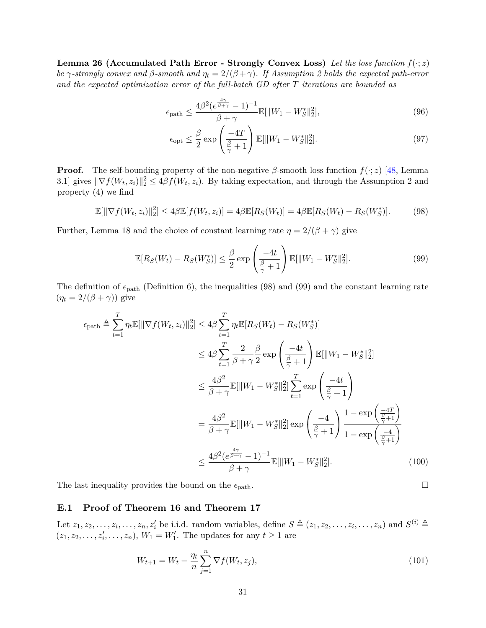**Lemma 26 (Accumulated Path Error - Strongly Convex Loss)** Let the loss function  $f(\cdot; z)$ *be*  $γ$ -strongly convex and  $β$ -smooth and  $η<sub>t</sub> = 2/(β + γ)$  $η<sub>t</sub> = 2/(β + γ)$  $η<sub>t</sub> = 2/(β + γ)$ . If Assumption 2 holds the expected path-error *and the expected optimization error of the full-batch GD after T iterations are bounded as*

$$
\epsilon_{\text{path}} \le \frac{4\beta^2 (e^{\frac{4\gamma}{\beta + \gamma}} - 1)^{-1}}{\beta + \gamma} \mathbb{E}[\|W_1 - W_S^*\|_2^2],\tag{96}
$$

<span id="page-30-0"></span>
$$
\epsilon_{\rm opt} \le \frac{\beta}{2} \exp\left(\frac{-4T}{\frac{\beta}{\gamma} + 1}\right) \mathbb{E}[\|W_1 - W_S^*\|_2^2].\tag{97}
$$

**Proof.** The self-bounding property of the non-negative  $\beta$ -smooth loss function  $f(\cdot; z)$  [\[48,](#page-18-0) Lemma 3.1] gives  $\|\nabla f(W_t, z_i)\|_2^2 \leq 4\beta f(W_t, z_i)$  $\|\nabla f(W_t, z_i)\|_2^2 \leq 4\beta f(W_t, z_i)$  $\|\nabla f(W_t, z_i)\|_2^2 \leq 4\beta f(W_t, z_i)$ . By taking expectation, and through the Assumption 2 and property [\(4\)](#page-5-1) we find

$$
\mathbb{E}[\|\nabla f(W_t, z_i)\|_2^2] \le 4\beta \mathbb{E}[f(W_t, z_i)] = 4\beta \mathbb{E}[R_S(W_t)] = 4\beta \mathbb{E}[R_S(W_t) - R_S(W_s^*)].\tag{98}
$$

Further, Lemma [18](#page-12-1) and the choice of constant learning rate  $\eta = 2/(\beta + \gamma)$  give

$$
\mathbb{E}[R_S(W_t) - R_S(W_S^*)] \le \frac{\beta}{2} \exp\left(\frac{-4t}{\frac{\beta}{\gamma} + 1}\right) \mathbb{E}[\|W_1 - W_S^*\|_2^2].\tag{99}
$$

The definition of  $\epsilon_{\text{path}}$  (Definition [6\)](#page-8-2), the inequalities [\(98\)](#page-30-0) and [\(99\)](#page-30-1) and the constant learning rate  $(\eta_t = 2/(\beta + \gamma))$  give

$$
\epsilon_{\text{path}} \triangleq \sum_{t=1}^{T} \eta_t \mathbb{E}[\|\nabla f(W_t, z_i)\|_2^2] \le 4\beta \sum_{t=1}^{T} \eta_t \mathbb{E}[R_S(W_t) - R_S(W_S^*)]
$$
  
\n
$$
\le 4\beta \sum_{t=1}^{T} \frac{2}{\beta + \gamma} \frac{\beta}{2} \exp\left(\frac{-4t}{\frac{\beta}{\gamma} + 1}\right) \mathbb{E}[\|W_1 - W_S^*\|_2^2]
$$
  
\n
$$
\le \frac{4\beta^2}{\beta + \gamma} \mathbb{E}[\|W_1 - W_S^*\|_2^2] \sum_{t=1}^{T} \exp\left(\frac{-4t}{\frac{\beta}{\gamma} + 1}\right)
$$
  
\n
$$
= \frac{4\beta^2}{\beta + \gamma} \mathbb{E}[\|W_1 - W_S^*\|_2^2] \exp\left(\frac{-4}{\frac{\beta}{\gamma} + 1}\right) \frac{1 - \exp\left(\frac{-4T}{\frac{\beta}{\gamma} + 1}\right)}{1 - \exp\left(\frac{-4}{\frac{\beta}{\gamma} + 1}\right)}
$$
  
\n
$$
\le \frac{4\beta^2 (e^{\frac{4\gamma}{\beta + \gamma}} - 1)^{-1}}{\beta + \gamma} \mathbb{E}[\|W_1 - W_S^*\|_2^2].
$$
 (100)

The last inequality provides the bound on the  $\epsilon_{\text{path}}$ .  $\Box$ 

### **E.1 Proof of Theorem [16](#page-11-3) and Theorem [17](#page-11-0)**

Let  $z_1, z_2, \ldots, z_i, \ldots, z_n, z'_i$  be i.i.d. random variables, define  $S \triangleq (z_1, z_2, \ldots, z_i, \ldots, z_n)$  and  $S^{(i)} \triangleq$  $(z_1, z_2, \ldots, z'_i, \ldots, z_n), W_1 = W'_1$ . The updates for any  $t \ge 1$  are

$$
W_{t+1} = W_t - \frac{\eta_t}{n} \sum_{j=1}^n \nabla f(W_t, z_j),
$$
\n(101)

<span id="page-30-1"></span>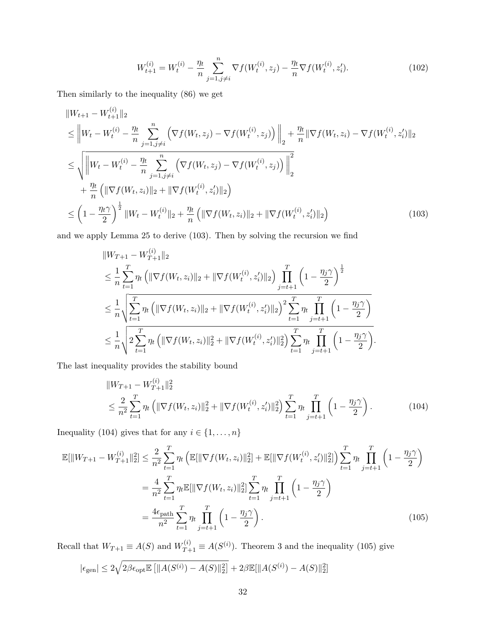<span id="page-31-0"></span>
$$
W_{t+1}^{(i)} = W_t^{(i)} - \frac{\eta_t}{n} \sum_{j=1, j \neq i}^n \nabla f(W_t^{(i)}, z_j) - \frac{\eta_t}{n} \nabla f(W_t^{(i)}, z_i').
$$
 (102)

Then similarly to the inequality [\(86\)](#page-27-1) we get

$$
\|W_{t+1} - W_{t+1}^{(i)}\|_{2}
$$
\n
$$
\leq \|W_{t} - W_{t}^{(i)} - \frac{\eta_{t}}{n} \sum_{j=1, j\neq i}^{n} \left( \nabla f(W_{t}, z_{j}) - \nabla f(W_{t}^{(i)}, z_{j}) \right) \|_{2} + \frac{\eta_{t}}{n} \|\nabla f(W_{t}, z_{i}) - \nabla f(W_{t}^{(i)}, z_{i}')\|_{2}
$$
\n
$$
\leq \sqrt{\left\|W_{t} - W_{t}^{(i)} - \frac{\eta_{t}}{n} \sum_{j=1, j\neq i}^{n} \left( \nabla f(W_{t}, z_{j}) - \nabla f(W_{t}^{(i)}, z_{j}) \right) \right\|_{2}^{2}}
$$
\n
$$
+ \frac{\eta_{t}}{n} \left( \|\nabla f(W_{t}, z_{i})\|_{2} + \|\nabla f(W_{t}^{(i)}, z_{i}')\|_{2} \right)
$$
\n
$$
\leq \left(1 - \frac{\eta_{t}\gamma}{2}\right)^{\frac{1}{2}} \|W_{t} - W_{t}^{(i)}\|_{2} + \frac{\eta_{t}}{n} \left( \|\nabla f(W_{t}, z_{i})\|_{2} + \|\nabla f(W_{t}^{(i)}, z_{i}')\|_{2} \right) \tag{103}
$$

and we apply Lemma [25](#page-28-4) to derive [\(103\)](#page-31-0). Then by solving the recursion we find

$$
\|W_{T+1} - W_{T+1}^{(i)}\|_{2}
$$
\n
$$
\leq \frac{1}{n} \sum_{t=1}^{T} \eta_{t} \left( \|\nabla f(W_{t}, z_{i})\|_{2} + \|\nabla f(W_{t}^{(i)}, z_{i}')\|_{2} \right) \prod_{j=t+1}^{T} \left( 1 - \frac{\eta_{j}\gamma}{2} \right)^{\frac{1}{2}}
$$
\n
$$
\leq \frac{1}{n} \sqrt{\sum_{t=1}^{T} \eta_{t} \left( \|\nabla f(W_{t}, z_{i})\|_{2} + \|\nabla f(W_{t}^{(i)}, z_{i}')\|_{2} \right)^{2} \sum_{t=1}^{T} \eta_{t} \prod_{j=t+1}^{T} \left( 1 - \frac{\eta_{j}\gamma}{2} \right)}
$$
\n
$$
\leq \frac{1}{n} \sqrt{2 \sum_{t=1}^{T} \eta_{t} \left( \|\nabla f(W_{t}, z_{i})\|_{2}^{2} + \|\nabla f(W_{t}^{(i)}, z_{i}')\|_{2}^{2} \right) \sum_{t=1}^{T} \eta_{t} \prod_{j=t+1}^{T} \left( 1 - \frac{\eta_{j}\gamma}{2} \right)}.
$$

The last inequality provides the stability bound

<span id="page-31-2"></span><span id="page-31-1"></span>
$$
||W_{T+1} - W_{T+1}^{(i)}||_2^2
$$
  
\n
$$
\leq \frac{2}{n^2} \sum_{t=1}^T \eta_t \left( ||\nabla f(W_t, z_i)||_2^2 + ||\nabla f(W_t^{(i)}, z_i')||_2^2 \right) \sum_{t=1}^T \eta_t \prod_{j=t+1}^T \left( 1 - \frac{\eta_j \gamma}{2} \right). \tag{104}
$$

Inequality [\(104\)](#page-31-1) gives that for any  $i \in \{1, \ldots, n\}$ 

$$
\mathbb{E}[\|W_{T+1} - W_{T+1}^{(i)}\|_2^2] \le \frac{2}{n^2} \sum_{t=1}^T \eta_t \left( \mathbb{E}[\|\nabla f(W_t, z_i)\|_2^2] + \mathbb{E}[\|\nabla f(W_t^{(i)}, z_i')\|_2^2] \right) \sum_{t=1}^T \eta_t \prod_{j=t+1}^T \left( 1 - \frac{\eta_j \gamma}{2} \right)
$$
  
\n
$$
= \frac{4}{n^2} \sum_{t=1}^T \eta_t \mathbb{E}[\|\nabla f(W_t, z_i)\|_2^2] \sum_{t=1}^T \eta_t \prod_{j=t+1}^T \left( 1 - \frac{\eta_j \gamma}{2} \right)
$$
  
\n
$$
= \frac{4\epsilon_{\text{path}}}{n^2} \sum_{t=1}^T \eta_t \prod_{j=t+1}^T \left( 1 - \frac{\eta_j \gamma}{2} \right).
$$
 (105)

Recall that  $W_{T+1} \equiv A(S)$  and  $W_{T+1}^{(i)} \equiv A(S^{(i)})$ . Theorem [3](#page-5-0) and the inequality [\(105\)](#page-31-2) give

$$
|\epsilon_{gen}| \leq 2\sqrt{2\beta\epsilon_{opt} \mathbb{E} [||A(S^{(i)}) - A(S)||_2^2]} + 2\beta \mathbb{E} [||A(S^{(i)}) - A(S)||_2^2]
$$